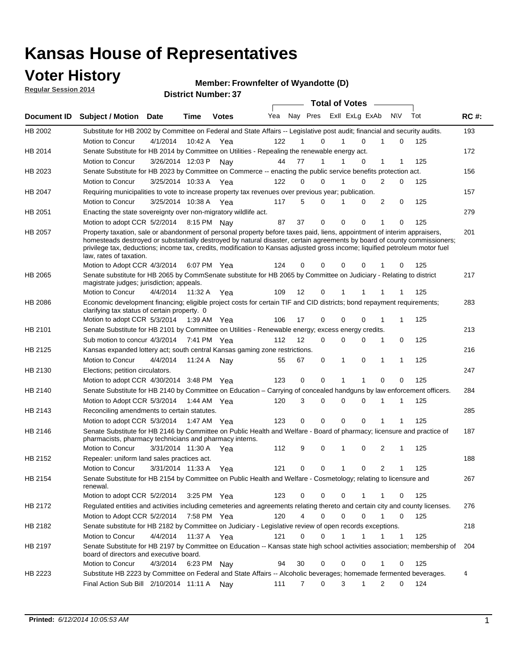### **Voter History**

**Regular Session 2014**

#### **Member: Frownfelter of Wyandotte (D)**

|                |                                                                                                                                                                                                                                                                                                                                                                                                                                                  |                       |              | <b>DISTRICT MAILINGLES</b> |     |                   |                  | <b>Total of Votes</b> |                |                  |     |             |
|----------------|--------------------------------------------------------------------------------------------------------------------------------------------------------------------------------------------------------------------------------------------------------------------------------------------------------------------------------------------------------------------------------------------------------------------------------------------------|-----------------------|--------------|----------------------------|-----|-------------------|------------------|-----------------------|----------------|------------------|-----|-------------|
|                | Document ID Subject / Motion                                                                                                                                                                                                                                                                                                                                                                                                                     | <b>Date</b>           | Time         | <b>Votes</b>               | Yea |                   | Nay Pres         |                       | Exll ExLg ExAb | <b>NV</b>        | Tot | <b>RC#:</b> |
| HB 2002        | Substitute for HB 2002 by Committee on Federal and State Affairs -- Legislative post audit; financial and security audits.                                                                                                                                                                                                                                                                                                                       |                       |              |                            |     |                   |                  |                       |                |                  |     | 193         |
|                | Motion to Concur                                                                                                                                                                                                                                                                                                                                                                                                                                 | 4/1/2014              |              | 10:42 A Yea                | 122 |                   | 0                |                       | $\Omega$       | 0                | 125 |             |
| HB 2014        | Senate Substitute for HB 2014 by Committee on Utilities - Repealing the renewable energy act.                                                                                                                                                                                                                                                                                                                                                    |                       |              |                            |     |                   |                  |                       |                |                  |     | 172         |
|                | Motion to Concur                                                                                                                                                                                                                                                                                                                                                                                                                                 | 3/26/2014 12:03 P     |              | Nav                        | 44  | 77                | 1                |                       | 0              | 1<br>1           | 125 |             |
| HB 2023        | Senate Substitute for HB 2023 by Committee on Commerce -- enacting the public service benefits protection act.                                                                                                                                                                                                                                                                                                                                   |                       |              |                            |     |                   |                  |                       |                |                  |     | 156         |
|                | Motion to Concur                                                                                                                                                                                                                                                                                                                                                                                                                                 | 3/25/2014 10:33 A Yea |              |                            | 122 | $\Omega$          | 0                |                       | $\Omega$       | 2<br>0           | 125 |             |
| HB 2047        | Requiring municipalities to vote to increase property tax revenues over previous year; publication.                                                                                                                                                                                                                                                                                                                                              |                       |              |                            |     |                   |                  |                       |                |                  |     | 157         |
|                | Motion to Concur                                                                                                                                                                                                                                                                                                                                                                                                                                 | 3/25/2014 10:38 A     |              | Yea                        | 117 | 5                 | 0                |                       | 0              | 2<br>0           | 125 |             |
| HB 2051        | Enacting the state sovereignty over non-migratory wildlife act.                                                                                                                                                                                                                                                                                                                                                                                  |                       |              |                            |     |                   |                  |                       |                |                  |     | 279         |
|                | Motion to adopt CCR 5/2/2014                                                                                                                                                                                                                                                                                                                                                                                                                     |                       | 8:15 PM Nav  |                            | 87  | 37                | 0                | $\Omega$              | 0              | 1<br>0           | 125 |             |
| HB 2057        | Property taxation, sale or abandonment of personal property before taxes paid, liens, appointment of interim appraisers,<br>homesteads destroyed or substantially destroyed by natural disaster, certain agreements by board of county commissioners;<br>privilege tax, deductions; income tax, credits, modification to Kansas adjusted gross income; liquified petroleum motor fuel<br>law, rates of taxation.<br>Motion to Adopt CCR 4/3/2014 |                       |              | 6:07 PM Yea                | 124 | 0                 | 0                | 0                     | 0              | 0                | 125 | 201         |
| <b>HB 2065</b> | Senate substitute for HB 2065 by CommSenate substitute for HB 2065 by Committee on Judiciary - Relating to district                                                                                                                                                                                                                                                                                                                              |                       |              |                            |     |                   |                  |                       |                |                  |     | 217         |
|                | magistrate judges; jurisdiction; appeals.<br>Motion to Concur                                                                                                                                                                                                                                                                                                                                                                                    | 4/4/2014 11:32 A Yea  |              |                            |     | $12 \overline{ }$ | $\mathbf 0$      | 1                     | 1              | -1<br>-1         | 125 |             |
|                |                                                                                                                                                                                                                                                                                                                                                                                                                                                  |                       |              |                            | 109 |                   |                  |                       |                |                  |     |             |
| HB 2086        | Economic development financing; eligible project costs for certain TIF and CID districts; bond repayment requirements;<br>clarifying tax status of certain property. 0                                                                                                                                                                                                                                                                           |                       |              |                            |     |                   |                  |                       |                |                  |     | 283         |
|                | Motion to adopt CCR 5/3/2014                                                                                                                                                                                                                                                                                                                                                                                                                     |                       | 1:39 AM  Yea |                            | 106 | 17                | 0                | 0                     | 0              | 1<br>1           | 125 |             |
| HB 2101        | Senate Substitute for HB 2101 by Committee on Utilities - Renewable energy; excess energy credits.                                                                                                                                                                                                                                                                                                                                               |                       |              |                            |     |                   |                  |                       |                |                  |     | 213         |
|                | Sub motion to concur 4/3/2014                                                                                                                                                                                                                                                                                                                                                                                                                    |                       |              | 7:41 PM Yea                | 112 | $12 \overline{ }$ | 0                | 0                     | 0              | 1<br>0           | 125 |             |
| HB 2125        | Kansas expanded lottery act; south central Kansas gaming zone restrictions.                                                                                                                                                                                                                                                                                                                                                                      |                       |              |                            |     |                   |                  |                       |                |                  |     | 216         |
|                | Motion to Concur                                                                                                                                                                                                                                                                                                                                                                                                                                 | 4/4/2014              | 11:24 A      | Nav                        | 55  | 67                | 0                | 1                     | 0              | 1<br>$\mathbf 1$ | 125 |             |
| HB 2130        | Elections; petition circulators.                                                                                                                                                                                                                                                                                                                                                                                                                 |                       |              |                            |     |                   |                  |                       |                |                  |     | 247         |
|                | Motion to adopt CCR 4/30/2014 3:48 PM Yea                                                                                                                                                                                                                                                                                                                                                                                                        |                       |              |                            | 123 | 0                 | 0                | 1                     | 1              | $\mathbf 0$<br>0 | 125 |             |
| HB 2140        | Senate Substitute for HB 2140 by Committee on Education – Carrying of concealed handguns by law enforcement officers.                                                                                                                                                                                                                                                                                                                            |                       |              |                            |     |                   |                  |                       |                |                  |     | 284         |
|                | Motion to Adopt CCR 5/3/2014                                                                                                                                                                                                                                                                                                                                                                                                                     |                       |              | 1:44 AM Yea                | 120 |                   | 3<br>0           | 0                     | 0              | 1<br>1           | 125 |             |
| HB 2143        | Reconciling amendments to certain statutes.                                                                                                                                                                                                                                                                                                                                                                                                      |                       |              |                            |     |                   |                  |                       |                |                  |     | 285         |
|                | Motion to adopt CCR 5/3/2014                                                                                                                                                                                                                                                                                                                                                                                                                     |                       |              | 1:47 AM Yea                | 123 | 0                 | 0                | 0                     | 0              | 1<br>1           | 125 |             |
| HB 2146        | Senate Substitute for HB 2146 by Committee on Public Health and Welfare - Board of pharmacy; licensure and practice of<br>pharmacists, pharmacy technicians and pharmacy interns.                                                                                                                                                                                                                                                                |                       |              |                            |     |                   |                  |                       |                |                  |     | 187         |
|                | Motion to Concur                                                                                                                                                                                                                                                                                                                                                                                                                                 | 3/31/2014 11:30 A     |              | Yea                        | 112 | 9                 | 0                | 1                     | $\mathbf 0$    | 2<br>1           | 125 |             |
| <b>HB 2152</b> | Repealer: uniform land sales practices act.                                                                                                                                                                                                                                                                                                                                                                                                      |                       |              |                            |     |                   |                  |                       |                |                  |     | 188         |
|                | Motion to Concur                                                                                                                                                                                                                                                                                                                                                                                                                                 | 3/31/2014 11:33 A     |              | Yea                        | 121 | 0                 | 0                | 1                     | 0              | 2<br>1           | 125 |             |
| HB 2154        | Senate Substitute for HB 2154 by Committee on Public Health and Welfare - Cosmetology; relating to licensure and<br>renewal.                                                                                                                                                                                                                                                                                                                     |                       |              |                            |     |                   |                  |                       |                |                  |     | 267         |
|                | Motion to adopt CCR 5/2/2014 3:25 PM Yea                                                                                                                                                                                                                                                                                                                                                                                                         |                       |              |                            | 123 |                   | $\Omega$<br>0    | 0                     |                | 0                | 125 |             |
| HB 2172        | Regulated entities and activities including cemeteries and agreements relating thereto and certain city and county licenses.                                                                                                                                                                                                                                                                                                                     |                       |              |                            |     |                   |                  |                       |                |                  |     | 276         |
|                | Motion to Adopt CCR 5/2/2014                                                                                                                                                                                                                                                                                                                                                                                                                     |                       | 7:58 PM Yea  |                            | 120 |                   | 4<br>$\mathbf 0$ | $\mathbf 0$           | $\mathbf 0$    | 1<br>0           | 125 |             |
| HB 2182        | Senate substitute for HB 2182 by Committee on Judiciary - Legislative review of open records exceptions.                                                                                                                                                                                                                                                                                                                                         |                       |              |                            |     |                   |                  |                       |                |                  |     | 218         |
|                | Motion to Concur                                                                                                                                                                                                                                                                                                                                                                                                                                 | 4/4/2014 11:37 A Yea  |              |                            | 121 | 0                 | $\mathbf 0$      | 1                     | 1              | 1<br>$\mathbf 1$ | 125 |             |
| HB 2197        | Senate Substitute for HB 2197 by Committee on Education -- Kansas state high school activities association; membership of<br>board of directors and executive board.                                                                                                                                                                                                                                                                             |                       |              |                            |     |                   |                  |                       |                |                  |     | 204         |
|                | Motion to Concur                                                                                                                                                                                                                                                                                                                                                                                                                                 | 4/3/2014              |              | 6:23 PM Nay                | 94  | 30                | 0                | 0                     | 0              | 1<br>0           | 125 |             |
| HB 2223        | Substitute HB 2223 by Committee on Federal and State Affairs -- Alcoholic beverages; homemade fermented beverages.                                                                                                                                                                                                                                                                                                                               |                       |              |                            |     |                   |                  |                       |                |                  |     | 4           |
|                | Final Action Sub Bill 2/10/2014 11:11 A Nay                                                                                                                                                                                                                                                                                                                                                                                                      |                       |              |                            | 111 | 7                 | 0                | 3                     | 1              | 2<br>0           | 124 |             |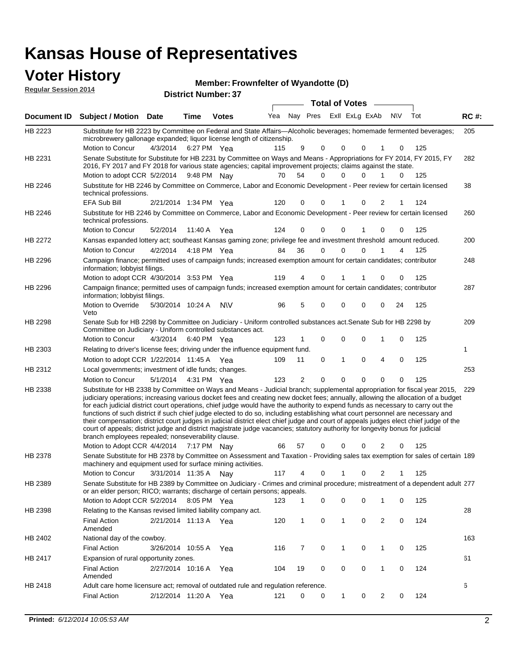## **Voter History**

|                                                                                                                                                                                                                                                                                                                                                                                                                                                                                                                                                                                                                                                                                                                                                                                                                                                                                                                                                                                                                                                                                                                                                                                                                                                                                                                                                                                                                                                                                                                                                                                                                                                                                                                                                                                                                                                                                                                                                                                                                                                                                                                                                                                                                                                                                                                                                                                                                                                                                                                                                                                                                                                                                                                                                                                                                                                                                                                                                                                                                                                                                                                                                                                                                                                                                                                                                                                                                                                                                                                                                                                                                                                                                                                                                                                                                                                                                                                                                                                                                                                                                                                                                                                                                                                                                                                                                                                                                                                                                                              |                  |          | Time | <b>Votes</b> | Yea |  |  |   |   |   | Tot | <b>RC#:</b> |
|--------------------------------------------------------------------------------------------------------------------------------------------------------------------------------------------------------------------------------------------------------------------------------------------------------------------------------------------------------------------------------------------------------------------------------------------------------------------------------------------------------------------------------------------------------------------------------------------------------------------------------------------------------------------------------------------------------------------------------------------------------------------------------------------------------------------------------------------------------------------------------------------------------------------------------------------------------------------------------------------------------------------------------------------------------------------------------------------------------------------------------------------------------------------------------------------------------------------------------------------------------------------------------------------------------------------------------------------------------------------------------------------------------------------------------------------------------------------------------------------------------------------------------------------------------------------------------------------------------------------------------------------------------------------------------------------------------------------------------------------------------------------------------------------------------------------------------------------------------------------------------------------------------------------------------------------------------------------------------------------------------------------------------------------------------------------------------------------------------------------------------------------------------------------------------------------------------------------------------------------------------------------------------------------------------------------------------------------------------------------------------------------------------------------------------------------------------------------------------------------------------------------------------------------------------------------------------------------------------------------------------------------------------------------------------------------------------------------------------------------------------------------------------------------------------------------------------------------------------------------------------------------------------------------------------------------------------------------------------------------------------------------------------------------------------------------------------------------------------------------------------------------------------------------------------------------------------------------------------------------------------------------------------------------------------------------------------------------------------------------------------------------------------------------------------------------------------------------------------------------------------------------------------------------------------------------------------------------------------------------------------------------------------------------------------------------------------------------------------------------------------------------------------------------------------------------------------------------------------------------------------------------------------------------------------------------------------------------------------------------------------------------------------------------------------------------------------------------------------------------------------------------------------------------------------------------------------------------------------------------------------------------------------------------------------------------------------------------------------------------------------------------------------------------------------------------------------------------------------------------------------------|------------------|----------|------|--------------|-----|--|--|---|---|---|-----|-------------|
|                                                                                                                                                                                                                                                                                                                                                                                                                                                                                                                                                                                                                                                                                                                                                                                                                                                                                                                                                                                                                                                                                                                                                                                                                                                                                                                                                                                                                                                                                                                                                                                                                                                                                                                                                                                                                                                                                                                                                                                                                                                                                                                                                                                                                                                                                                                                                                                                                                                                                                                                                                                                                                                                                                                                                                                                                                                                                                                                                                                                                                                                                                                                                                                                                                                                                                                                                                                                                                                                                                                                                                                                                                                                                                                                                                                                                                                                                                                                                                                                                                                                                                                                                                                                                                                                                                                                                                                                                                                                                                              | Motion to Concur |          |      |              |     |  |  | 0 |   | 0 | 125 | 205         |
|                                                                                                                                                                                                                                                                                                                                                                                                                                                                                                                                                                                                                                                                                                                                                                                                                                                                                                                                                                                                                                                                                                                                                                                                                                                                                                                                                                                                                                                                                                                                                                                                                                                                                                                                                                                                                                                                                                                                                                                                                                                                                                                                                                                                                                                                                                                                                                                                                                                                                                                                                                                                                                                                                                                                                                                                                                                                                                                                                                                                                                                                                                                                                                                                                                                                                                                                                                                                                                                                                                                                                                                                                                                                                                                                                                                                                                                                                                                                                                                                                                                                                                                                                                                                                                                                                                                                                                                                                                                                                                              |                  |          |      |              |     |  |  | 0 | 1 | 0 | 125 | 282         |
|                                                                                                                                                                                                                                                                                                                                                                                                                                                                                                                                                                                                                                                                                                                                                                                                                                                                                                                                                                                                                                                                                                                                                                                                                                                                                                                                                                                                                                                                                                                                                                                                                                                                                                                                                                                                                                                                                                                                                                                                                                                                                                                                                                                                                                                                                                                                                                                                                                                                                                                                                                                                                                                                                                                                                                                                                                                                                                                                                                                                                                                                                                                                                                                                                                                                                                                                                                                                                                                                                                                                                                                                                                                                                                                                                                                                                                                                                                                                                                                                                                                                                                                                                                                                                                                                                                                                                                                                                                                                                                              |                  |          |      |              |     |  |  |   |   |   |     | 38          |
|                                                                                                                                                                                                                                                                                                                                                                                                                                                                                                                                                                                                                                                                                                                                                                                                                                                                                                                                                                                                                                                                                                                                                                                                                                                                                                                                                                                                                                                                                                                                                                                                                                                                                                                                                                                                                                                                                                                                                                                                                                                                                                                                                                                                                                                                                                                                                                                                                                                                                                                                                                                                                                                                                                                                                                                                                                                                                                                                                                                                                                                                                                                                                                                                                                                                                                                                                                                                                                                                                                                                                                                                                                                                                                                                                                                                                                                                                                                                                                                                                                                                                                                                                                                                                                                                                                                                                                                                                                                                                                              |                  |          |      |              |     |  |  |   |   | 1 |     |             |
| HB 2246                                                                                                                                                                                                                                                                                                                                                                                                                                                                                                                                                                                                                                                                                                                                                                                                                                                                                                                                                                                                                                                                                                                                                                                                                                                                                                                                                                                                                                                                                                                                                                                                                                                                                                                                                                                                                                                                                                                                                                                                                                                                                                                                                                                                                                                                                                                                                                                                                                                                                                                                                                                                                                                                                                                                                                                                                                                                                                                                                                                                                                                                                                                                                                                                                                                                                                                                                                                                                                                                                                                                                                                                                                                                                                                                                                                                                                                                                                                                                                                                                                                                                                                                                                                                                                                                                                                                                                                                                                                                                                      |                  |          |      |              |     |  |  |   |   |   |     | 260         |
|                                                                                                                                                                                                                                                                                                                                                                                                                                                                                                                                                                                                                                                                                                                                                                                                                                                                                                                                                                                                                                                                                                                                                                                                                                                                                                                                                                                                                                                                                                                                                                                                                                                                                                                                                                                                                                                                                                                                                                                                                                                                                                                                                                                                                                                                                                                                                                                                                                                                                                                                                                                                                                                                                                                                                                                                                                                                                                                                                                                                                                                                                                                                                                                                                                                                                                                                                                                                                                                                                                                                                                                                                                                                                                                                                                                                                                                                                                                                                                                                                                                                                                                                                                                                                                                                                                                                                                                                                                                                                                              |                  |          |      | Yea          |     |  |  |   |   |   |     |             |
| HB 2272                                                                                                                                                                                                                                                                                                                                                                                                                                                                                                                                                                                                                                                                                                                                                                                                                                                                                                                                                                                                                                                                                                                                                                                                                                                                                                                                                                                                                                                                                                                                                                                                                                                                                                                                                                                                                                                                                                                                                                                                                                                                                                                                                                                                                                                                                                                                                                                                                                                                                                                                                                                                                                                                                                                                                                                                                                                                                                                                                                                                                                                                                                                                                                                                                                                                                                                                                                                                                                                                                                                                                                                                                                                                                                                                                                                                                                                                                                                                                                                                                                                                                                                                                                                                                                                                                                                                                                                                                                                                                                      |                  |          |      |              |     |  |  |   |   |   |     | 200         |
|                                                                                                                                                                                                                                                                                                                                                                                                                                                                                                                                                                                                                                                                                                                                                                                                                                                                                                                                                                                                                                                                                                                                                                                                                                                                                                                                                                                                                                                                                                                                                                                                                                                                                                                                                                                                                                                                                                                                                                                                                                                                                                                                                                                                                                                                                                                                                                                                                                                                                                                                                                                                                                                                                                                                                                                                                                                                                                                                                                                                                                                                                                                                                                                                                                                                                                                                                                                                                                                                                                                                                                                                                                                                                                                                                                                                                                                                                                                                                                                                                                                                                                                                                                                                                                                                                                                                                                                                                                                                                                              | Motion to Concur | 4/2/2014 |      |              |     |  |  | 0 | 1 | 4 | 125 |             |
| HB 2296                                                                                                                                                                                                                                                                                                                                                                                                                                                                                                                                                                                                                                                                                                                                                                                                                                                                                                                                                                                                                                                                                                                                                                                                                                                                                                                                                                                                                                                                                                                                                                                                                                                                                                                                                                                                                                                                                                                                                                                                                                                                                                                                                                                                                                                                                                                                                                                                                                                                                                                                                                                                                                                                                                                                                                                                                                                                                                                                                                                                                                                                                                                                                                                                                                                                                                                                                                                                                                                                                                                                                                                                                                                                                                                                                                                                                                                                                                                                                                                                                                                                                                                                                                                                                                                                                                                                                                                                                                                                                                      |                  |          |      |              |     |  |  |   |   |   |     | 248         |
| Member: Frownfelter of Wyandotte (D)<br><b>Regular Session 2014</b><br><b>District Number: 37</b><br><b>Total of Votes</b><br>Nay Pres<br>Exll ExLg ExAb<br><b>NV</b><br><b>Document ID</b><br><b>Subject / Motion Date</b><br>HB 2223<br>Substitute for HB 2223 by Committee on Federal and State Affairs—Alcoholic beverages; homemade fermented beverages;<br>microbrewery gallonage expanded; liquor license length of citizenship.<br>4/3/2014<br>6:27 PM Yea<br>9<br>115<br>0<br>0<br>Senate Substitute for Substitute for HB 2231 by Committee on Ways and Means - Appropriations for FY 2014, FY 2015, FY<br>HB 2231<br>2016, FY 2017 and FY 2018 for various state agencies; capital improvement projects; claims against the state.<br>Motion to adopt CCR 5/2/2014 9:48 PM Nay<br>54<br>0<br>70<br>0<br>Substitute for HB 2246 by Committee on Commerce, Labor and Economic Development - Peer review for certain licensed<br>HB 2246<br>technical professions.<br><b>EFA Sub Bill</b><br>120<br>2/21/2014 1:34 PM Yea<br>0<br>0<br>0<br>2<br>124<br>Substitute for HB 2246 by Committee on Commerce, Labor and Economic Development - Peer review for certain licensed<br>technical professions.<br>Motion to Concur<br>5/2/2014<br>124<br>0<br>0<br>0<br>125<br>11:40 A<br>0<br>0<br>Kansas expanded lottery act; southeast Kansas gaming zone; privilege fee and investment threshold amount reduced.<br>36<br>$\mathbf 0$<br>0<br>4:18 PM Yea<br>84<br>Campaign finance; permitted uses of campaign funds; increased exemption amount for certain candidates; contributor<br>information; lobbyist filings.<br>Motion to adopt CCR 4/30/2014 3:53 PM Yea<br>119<br>0<br>125<br>0<br>$\Omega$<br>4<br>1<br>Campaign finance; permitted uses of campaign funds; increased exemption amount for certain candidates; contributor<br>HB 2296<br>information; lobbyist filings.<br>Motion to Override<br>96<br>5<br>0<br>0<br>24<br>125<br>5/30/2014 10:24 A<br>0<br>0<br><b>NV</b><br>Veto<br>Senate Sub for HB 2298 by Committee on Judiciary - Uniform controlled substances act. Senate Sub for HB 2298 by<br>HB 2298<br>Committee on Judiciary - Uniform controlled substances act.<br>Motion to Concur<br>123<br>0<br>0<br>0<br>125<br>4/3/2014<br>6:40 PM Yea<br>1<br>0<br>HB 2303<br>Relating to driver's license fees; driving under the influence equipment fund.<br>1<br>0<br>1<br>0<br>4<br>0<br>125<br>Motion to adopt CCR $1/22/2014$ 11:45 A Yea<br>109<br>11<br>HB 2312<br>Local governments; investment of idle funds; changes.<br>$\mathbf 0$<br>Motion to Concur<br>5/1/2014<br>123<br>2<br>0<br>0<br>0<br>125<br>4:31 PM Yea<br>0<br>Substitute for HB 2338 by Committee on Ways and Means - Judicial branch; supplemental appropriation for fiscal year 2015,<br>HB 2338<br>judiciary operations; increasing various docket fees and creating new docket fees; annually, allowing the allocation of a budget<br>for each judicial district court operations, chief judge would have the authority to expend funds as necessary to carry out the<br>functions of such district if such chief judge elected to do so, including establishing what court personnel are necessary and<br>their compensation; district court judges in judicial district elect chief judge and court of appeals judges elect chief judge of the<br>court of appeals; district judge and district magistrate judge vacancies; statutory authority for longevity bonus for judicial<br>branch employees repealed; nonseverability clause.<br>125<br>Motion to Adopt CCR 4/4/2014 7:17 PM Nay<br>66<br>57<br>2<br>0<br>0<br>0<br>0<br>HB 2378<br>machinery and equipment used for surface mining activities.<br>Motion to Concur<br>3/31/2014 11:35 A<br>117<br>125<br>4<br>0<br>0<br>2<br>Nav<br>1<br>HB 2389<br>or an elder person; RICO; warrants; discharge of certain persons; appeals.<br>Motion to Adopt CCR 5/2/2014 8:05 PM Yea<br>123<br>0<br>0<br>0<br>125<br>0<br>1<br>1<br>Relating to the Kansas revised limited liability company act.<br>28<br>HB 2398<br>2<br><b>Final Action</b><br>2/21/2014 11:13 A Yea<br>0<br>1<br>0<br>124<br>120<br>1<br>0<br>Amended<br>HB 2402<br>National day of the cowboy.<br><b>Final Action</b><br>7<br>0<br>1<br>0<br>0<br>125<br>3/26/2014 10:55 A<br>116<br>1<br>Yea<br>61<br>HB 2417<br>Expansion of rural opportunity zones.<br>0<br><b>Final Action</b><br>2/27/2014 10:16 A<br>19<br>0<br>0<br>$\mathbf{1}$<br>0<br>124<br>Yea<br>104<br>Amended |                  |          |      |              |     |  |  |   |   |   |     |             |
|                                                                                                                                                                                                                                                                                                                                                                                                                                                                                                                                                                                                                                                                                                                                                                                                                                                                                                                                                                                                                                                                                                                                                                                                                                                                                                                                                                                                                                                                                                                                                                                                                                                                                                                                                                                                                                                                                                                                                                                                                                                                                                                                                                                                                                                                                                                                                                                                                                                                                                                                                                                                                                                                                                                                                                                                                                                                                                                                                                                                                                                                                                                                                                                                                                                                                                                                                                                                                                                                                                                                                                                                                                                                                                                                                                                                                                                                                                                                                                                                                                                                                                                                                                                                                                                                                                                                                                                                                                                                                                              |                  |          |      |              |     |  |  |   |   |   |     | 287         |
|                                                                                                                                                                                                                                                                                                                                                                                                                                                                                                                                                                                                                                                                                                                                                                                                                                                                                                                                                                                                                                                                                                                                                                                                                                                                                                                                                                                                                                                                                                                                                                                                                                                                                                                                                                                                                                                                                                                                                                                                                                                                                                                                                                                                                                                                                                                                                                                                                                                                                                                                                                                                                                                                                                                                                                                                                                                                                                                                                                                                                                                                                                                                                                                                                                                                                                                                                                                                                                                                                                                                                                                                                                                                                                                                                                                                                                                                                                                                                                                                                                                                                                                                                                                                                                                                                                                                                                                                                                                                                                              |                  |          |      |              |     |  |  |   |   |   |     |             |
|                                                                                                                                                                                                                                                                                                                                                                                                                                                                                                                                                                                                                                                                                                                                                                                                                                                                                                                                                                                                                                                                                                                                                                                                                                                                                                                                                                                                                                                                                                                                                                                                                                                                                                                                                                                                                                                                                                                                                                                                                                                                                                                                                                                                                                                                                                                                                                                                                                                                                                                                                                                                                                                                                                                                                                                                                                                                                                                                                                                                                                                                                                                                                                                                                                                                                                                                                                                                                                                                                                                                                                                                                                                                                                                                                                                                                                                                                                                                                                                                                                                                                                                                                                                                                                                                                                                                                                                                                                                                                                              |                  |          |      |              |     |  |  |   |   |   |     |             |
|                                                                                                                                                                                                                                                                                                                                                                                                                                                                                                                                                                                                                                                                                                                                                                                                                                                                                                                                                                                                                                                                                                                                                                                                                                                                                                                                                                                                                                                                                                                                                                                                                                                                                                                                                                                                                                                                                                                                                                                                                                                                                                                                                                                                                                                                                                                                                                                                                                                                                                                                                                                                                                                                                                                                                                                                                                                                                                                                                                                                                                                                                                                                                                                                                                                                                                                                                                                                                                                                                                                                                                                                                                                                                                                                                                                                                                                                                                                                                                                                                                                                                                                                                                                                                                                                                                                                                                                                                                                                                                              |                  |          |      |              |     |  |  |   |   |   |     |             |
|                                                                                                                                                                                                                                                                                                                                                                                                                                                                                                                                                                                                                                                                                                                                                                                                                                                                                                                                                                                                                                                                                                                                                                                                                                                                                                                                                                                                                                                                                                                                                                                                                                                                                                                                                                                                                                                                                                                                                                                                                                                                                                                                                                                                                                                                                                                                                                                                                                                                                                                                                                                                                                                                                                                                                                                                                                                                                                                                                                                                                                                                                                                                                                                                                                                                                                                                                                                                                                                                                                                                                                                                                                                                                                                                                                                                                                                                                                                                                                                                                                                                                                                                                                                                                                                                                                                                                                                                                                                                                                              |                  |          |      |              |     |  |  |   |   |   |     |             |
|                                                                                                                                                                                                                                                                                                                                                                                                                                                                                                                                                                                                                                                                                                                                                                                                                                                                                                                                                                                                                                                                                                                                                                                                                                                                                                                                                                                                                                                                                                                                                                                                                                                                                                                                                                                                                                                                                                                                                                                                                                                                                                                                                                                                                                                                                                                                                                                                                                                                                                                                                                                                                                                                                                                                                                                                                                                                                                                                                                                                                                                                                                                                                                                                                                                                                                                                                                                                                                                                                                                                                                                                                                                                                                                                                                                                                                                                                                                                                                                                                                                                                                                                                                                                                                                                                                                                                                                                                                                                                                              |                  |          |      |              |     |  |  |   |   |   |     |             |
| 209<br>253<br>229<br>Senate Substitute for HB 2378 by Committee on Assessment and Taxation - Providing sales tax exemption for sales of certain 189<br>Senate Substitute for HB 2389 by Committee on Judiciary - Crimes and criminal procedure; mistreatment of a dependent adult 277<br>163<br>Adult care home licensure act; removal of outdated rule and regulation reference.<br>6<br>HB 2418<br><b>Final Action</b><br>2/12/2014 11:20 A<br>121<br>0<br>0<br>1<br>0<br>$\overline{2}$<br>0<br>124<br>Yea                                                                                                                                                                                                                                                                                                                                                                                                                                                                                                                                                                                                                                                                                                                                                                                                                                                                                                                                                                                                                                                                                                                                                                                                                                                                                                                                                                                                                                                                                                                                                                                                                                                                                                                                                                                                                                                                                                                                                                                                                                                                                                                                                                                                                                                                                                                                                                                                                                                                                                                                                                                                                                                                                                                                                                                                                                                                                                                                                                                                                                                                                                                                                                                                                                                                                                                                                                                                                                                                                                                                                                                                                                                                                                                                                                                                                                                                                                                                                                                                |                  |          |      |              |     |  |  |   |   |   |     |             |
|                                                                                                                                                                                                                                                                                                                                                                                                                                                                                                                                                                                                                                                                                                                                                                                                                                                                                                                                                                                                                                                                                                                                                                                                                                                                                                                                                                                                                                                                                                                                                                                                                                                                                                                                                                                                                                                                                                                                                                                                                                                                                                                                                                                                                                                                                                                                                                                                                                                                                                                                                                                                                                                                                                                                                                                                                                                                                                                                                                                                                                                                                                                                                                                                                                                                                                                                                                                                                                                                                                                                                                                                                                                                                                                                                                                                                                                                                                                                                                                                                                                                                                                                                                                                                                                                                                                                                                                                                                                                                                              |                  |          |      |              |     |  |  |   |   |   |     |             |
|                                                                                                                                                                                                                                                                                                                                                                                                                                                                                                                                                                                                                                                                                                                                                                                                                                                                                                                                                                                                                                                                                                                                                                                                                                                                                                                                                                                                                                                                                                                                                                                                                                                                                                                                                                                                                                                                                                                                                                                                                                                                                                                                                                                                                                                                                                                                                                                                                                                                                                                                                                                                                                                                                                                                                                                                                                                                                                                                                                                                                                                                                                                                                                                                                                                                                                                                                                                                                                                                                                                                                                                                                                                                                                                                                                                                                                                                                                                                                                                                                                                                                                                                                                                                                                                                                                                                                                                                                                                                                                              |                  |          |      |              |     |  |  |   |   |   |     |             |
|                                                                                                                                                                                                                                                                                                                                                                                                                                                                                                                                                                                                                                                                                                                                                                                                                                                                                                                                                                                                                                                                                                                                                                                                                                                                                                                                                                                                                                                                                                                                                                                                                                                                                                                                                                                                                                                                                                                                                                                                                                                                                                                                                                                                                                                                                                                                                                                                                                                                                                                                                                                                                                                                                                                                                                                                                                                                                                                                                                                                                                                                                                                                                                                                                                                                                                                                                                                                                                                                                                                                                                                                                                                                                                                                                                                                                                                                                                                                                                                                                                                                                                                                                                                                                                                                                                                                                                                                                                                                                                              |                  |          |      |              |     |  |  |   |   |   |     |             |
|                                                                                                                                                                                                                                                                                                                                                                                                                                                                                                                                                                                                                                                                                                                                                                                                                                                                                                                                                                                                                                                                                                                                                                                                                                                                                                                                                                                                                                                                                                                                                                                                                                                                                                                                                                                                                                                                                                                                                                                                                                                                                                                                                                                                                                                                                                                                                                                                                                                                                                                                                                                                                                                                                                                                                                                                                                                                                                                                                                                                                                                                                                                                                                                                                                                                                                                                                                                                                                                                                                                                                                                                                                                                                                                                                                                                                                                                                                                                                                                                                                                                                                                                                                                                                                                                                                                                                                                                                                                                                                              |                  |          |      |              |     |  |  |   |   |   |     |             |
|                                                                                                                                                                                                                                                                                                                                                                                                                                                                                                                                                                                                                                                                                                                                                                                                                                                                                                                                                                                                                                                                                                                                                                                                                                                                                                                                                                                                                                                                                                                                                                                                                                                                                                                                                                                                                                                                                                                                                                                                                                                                                                                                                                                                                                                                                                                                                                                                                                                                                                                                                                                                                                                                                                                                                                                                                                                                                                                                                                                                                                                                                                                                                                                                                                                                                                                                                                                                                                                                                                                                                                                                                                                                                                                                                                                                                                                                                                                                                                                                                                                                                                                                                                                                                                                                                                                                                                                                                                                                                                              |                  |          |      |              |     |  |  |   |   |   |     |             |
|                                                                                                                                                                                                                                                                                                                                                                                                                                                                                                                                                                                                                                                                                                                                                                                                                                                                                                                                                                                                                                                                                                                                                                                                                                                                                                                                                                                                                                                                                                                                                                                                                                                                                                                                                                                                                                                                                                                                                                                                                                                                                                                                                                                                                                                                                                                                                                                                                                                                                                                                                                                                                                                                                                                                                                                                                                                                                                                                                                                                                                                                                                                                                                                                                                                                                                                                                                                                                                                                                                                                                                                                                                                                                                                                                                                                                                                                                                                                                                                                                                                                                                                                                                                                                                                                                                                                                                                                                                                                                                              |                  |          |      |              |     |  |  |   |   |   |     |             |
|                                                                                                                                                                                                                                                                                                                                                                                                                                                                                                                                                                                                                                                                                                                                                                                                                                                                                                                                                                                                                                                                                                                                                                                                                                                                                                                                                                                                                                                                                                                                                                                                                                                                                                                                                                                                                                                                                                                                                                                                                                                                                                                                                                                                                                                                                                                                                                                                                                                                                                                                                                                                                                                                                                                                                                                                                                                                                                                                                                                                                                                                                                                                                                                                                                                                                                                                                                                                                                                                                                                                                                                                                                                                                                                                                                                                                                                                                                                                                                                                                                                                                                                                                                                                                                                                                                                                                                                                                                                                                                              |                  |          |      |              |     |  |  |   |   |   |     |             |
|                                                                                                                                                                                                                                                                                                                                                                                                                                                                                                                                                                                                                                                                                                                                                                                                                                                                                                                                                                                                                                                                                                                                                                                                                                                                                                                                                                                                                                                                                                                                                                                                                                                                                                                                                                                                                                                                                                                                                                                                                                                                                                                                                                                                                                                                                                                                                                                                                                                                                                                                                                                                                                                                                                                                                                                                                                                                                                                                                                                                                                                                                                                                                                                                                                                                                                                                                                                                                                                                                                                                                                                                                                                                                                                                                                                                                                                                                                                                                                                                                                                                                                                                                                                                                                                                                                                                                                                                                                                                                                              |                  |          |      |              |     |  |  |   |   |   |     |             |
|                                                                                                                                                                                                                                                                                                                                                                                                                                                                                                                                                                                                                                                                                                                                                                                                                                                                                                                                                                                                                                                                                                                                                                                                                                                                                                                                                                                                                                                                                                                                                                                                                                                                                                                                                                                                                                                                                                                                                                                                                                                                                                                                                                                                                                                                                                                                                                                                                                                                                                                                                                                                                                                                                                                                                                                                                                                                                                                                                                                                                                                                                                                                                                                                                                                                                                                                                                                                                                                                                                                                                                                                                                                                                                                                                                                                                                                                                                                                                                                                                                                                                                                                                                                                                                                                                                                                                                                                                                                                                                              |                  |          |      |              |     |  |  |   |   |   |     |             |
|                                                                                                                                                                                                                                                                                                                                                                                                                                                                                                                                                                                                                                                                                                                                                                                                                                                                                                                                                                                                                                                                                                                                                                                                                                                                                                                                                                                                                                                                                                                                                                                                                                                                                                                                                                                                                                                                                                                                                                                                                                                                                                                                                                                                                                                                                                                                                                                                                                                                                                                                                                                                                                                                                                                                                                                                                                                                                                                                                                                                                                                                                                                                                                                                                                                                                                                                                                                                                                                                                                                                                                                                                                                                                                                                                                                                                                                                                                                                                                                                                                                                                                                                                                                                                                                                                                                                                                                                                                                                                                              |                  |          |      |              |     |  |  |   |   |   |     |             |
|                                                                                                                                                                                                                                                                                                                                                                                                                                                                                                                                                                                                                                                                                                                                                                                                                                                                                                                                                                                                                                                                                                                                                                                                                                                                                                                                                                                                                                                                                                                                                                                                                                                                                                                                                                                                                                                                                                                                                                                                                                                                                                                                                                                                                                                                                                                                                                                                                                                                                                                                                                                                                                                                                                                                                                                                                                                                                                                                                                                                                                                                                                                                                                                                                                                                                                                                                                                                                                                                                                                                                                                                                                                                                                                                                                                                                                                                                                                                                                                                                                                                                                                                                                                                                                                                                                                                                                                                                                                                                                              |                  |          |      |              |     |  |  |   |   |   |     |             |
|                                                                                                                                                                                                                                                                                                                                                                                                                                                                                                                                                                                                                                                                                                                                                                                                                                                                                                                                                                                                                                                                                                                                                                                                                                                                                                                                                                                                                                                                                                                                                                                                                                                                                                                                                                                                                                                                                                                                                                                                                                                                                                                                                                                                                                                                                                                                                                                                                                                                                                                                                                                                                                                                                                                                                                                                                                                                                                                                                                                                                                                                                                                                                                                                                                                                                                                                                                                                                                                                                                                                                                                                                                                                                                                                                                                                                                                                                                                                                                                                                                                                                                                                                                                                                                                                                                                                                                                                                                                                                                              |                  |          |      |              |     |  |  |   |   |   |     |             |
|                                                                                                                                                                                                                                                                                                                                                                                                                                                                                                                                                                                                                                                                                                                                                                                                                                                                                                                                                                                                                                                                                                                                                                                                                                                                                                                                                                                                                                                                                                                                                                                                                                                                                                                                                                                                                                                                                                                                                                                                                                                                                                                                                                                                                                                                                                                                                                                                                                                                                                                                                                                                                                                                                                                                                                                                                                                                                                                                                                                                                                                                                                                                                                                                                                                                                                                                                                                                                                                                                                                                                                                                                                                                                                                                                                                                                                                                                                                                                                                                                                                                                                                                                                                                                                                                                                                                                                                                                                                                                                              |                  |          |      |              |     |  |  |   |   |   |     |             |
|                                                                                                                                                                                                                                                                                                                                                                                                                                                                                                                                                                                                                                                                                                                                                                                                                                                                                                                                                                                                                                                                                                                                                                                                                                                                                                                                                                                                                                                                                                                                                                                                                                                                                                                                                                                                                                                                                                                                                                                                                                                                                                                                                                                                                                                                                                                                                                                                                                                                                                                                                                                                                                                                                                                                                                                                                                                                                                                                                                                                                                                                                                                                                                                                                                                                                                                                                                                                                                                                                                                                                                                                                                                                                                                                                                                                                                                                                                                                                                                                                                                                                                                                                                                                                                                                                                                                                                                                                                                                                                              |                  |          |      |              |     |  |  |   |   |   |     |             |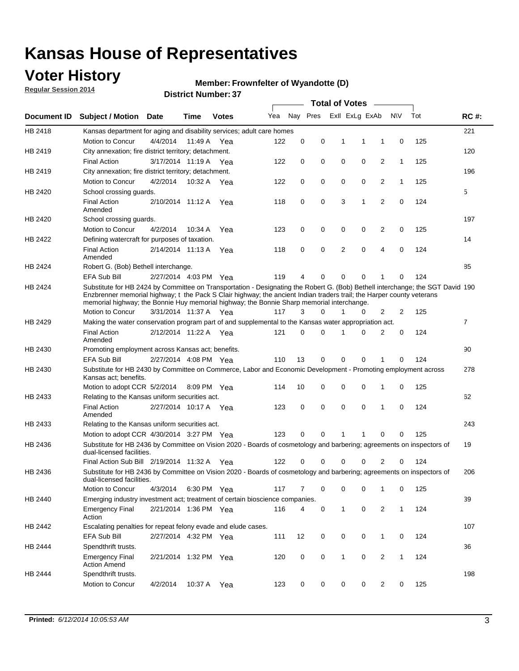### **Voter History**

**Regular Session 2014**

#### **Member: Frownfelter of Wyandotte (D)**

|             |                                                                                                                                                                                                                                                                                                                                                      |                       |             | <b>DISTRICT MAILINGLES</b> |     |          |          |              | <b>Total of Votes</b> |                |              |     |                |
|-------------|------------------------------------------------------------------------------------------------------------------------------------------------------------------------------------------------------------------------------------------------------------------------------------------------------------------------------------------------------|-----------------------|-------------|----------------------------|-----|----------|----------|--------------|-----------------------|----------------|--------------|-----|----------------|
| Document ID | <b>Subject / Motion</b>                                                                                                                                                                                                                                                                                                                              | Date                  | Time        | <b>Votes</b>               | Yea |          | Nay Pres |              | Exll ExLg ExAb        |                | N\V          | Tot | <b>RC#:</b>    |
| HB 2418     | Kansas department for aging and disability services; adult care homes                                                                                                                                                                                                                                                                                |                       |             |                            |     |          |          |              |                       |                |              |     | 221            |
|             | <b>Motion to Concur</b>                                                                                                                                                                                                                                                                                                                              | 4/4/2014              | 11:49 A     | Yea                        | 122 | 0        | 0        | 1            | 1                     | 1              | 0            | 125 |                |
| HB 2419     | City annexation; fire district territory; detachment.                                                                                                                                                                                                                                                                                                |                       |             |                            |     |          |          |              |                       |                |              |     | 120            |
|             | <b>Final Action</b>                                                                                                                                                                                                                                                                                                                                  | 3/17/2014 11:19 A     |             | Yea                        | 122 | 0        | 0        | 0            | 0                     | $\overline{2}$ | $\mathbf{1}$ | 125 |                |
| HB 2419     | City annexation; fire district territory; detachment.                                                                                                                                                                                                                                                                                                |                       |             |                            |     |          |          |              |                       |                |              |     | 196            |
|             | Motion to Concur                                                                                                                                                                                                                                                                                                                                     | 4/2/2014              | 10:32 A     | Yea                        | 122 | 0        | 0        | 0            | 0                     | $\overline{2}$ | 1            | 125 |                |
| HB 2420     | School crossing quards.                                                                                                                                                                                                                                                                                                                              |                       |             |                            |     |          |          |              |                       |                |              |     | 5              |
|             | <b>Final Action</b><br>Amended                                                                                                                                                                                                                                                                                                                       | 2/10/2014 11:12 A     |             | Yea                        | 118 | 0        | 0        | 3            | 1                     | $\overline{2}$ | 0            | 124 |                |
| HB 2420     | School crossing guards.                                                                                                                                                                                                                                                                                                                              |                       |             |                            |     |          |          |              |                       |                |              |     | 197            |
|             | Motion to Concur                                                                                                                                                                                                                                                                                                                                     | 4/2/2014              | 10:34 A     | Yea                        | 123 | 0        | 0        | 0            | 0                     | 2              | 0            | 125 |                |
| HB 2422     | Defining watercraft for purposes of taxation.                                                                                                                                                                                                                                                                                                        |                       |             |                            |     |          |          |              |                       |                |              |     | 14             |
|             | <b>Final Action</b><br>Amended                                                                                                                                                                                                                                                                                                                       | 2/14/2014 11:13 A     |             | Yea                        | 118 | 0        | 0        | 2            | $\mathbf 0$           | $\overline{4}$ | 0            | 124 |                |
| HB 2424     | Robert G. (Bob) Bethell interchange.                                                                                                                                                                                                                                                                                                                 |                       |             |                            |     |          |          |              |                       |                |              |     | 85             |
|             | <b>EFA Sub Bill</b>                                                                                                                                                                                                                                                                                                                                  | 2/27/2014 4:03 PM Yea |             |                            | 119 | 4        | 0        | $\Omega$     | $\Omega$              | 1              | 0            | 124 |                |
| HB 2424     | Substitute for HB 2424 by Committee on Transportation - Designating the Robert G. (Bob) Bethell interchange; the SGT David 190<br>Enzbrenner memorial highway; t the Pack S Clair highway; the ancient Indian traders trail; the Harper county veterans<br>memorial highway; the Bonnie Huy memorial highway; the Bonnie Sharp memorial interchange. |                       |             |                            |     |          |          |              |                       |                |              |     |                |
|             | Motion to Concur                                                                                                                                                                                                                                                                                                                                     | 3/31/2014 11:37 A Yea |             |                            | 117 | 3        | $\Omega$ | 1            | 0                     | $\overline{2}$ | 2            | 125 |                |
| HB 2429     | Making the water conservation program part of and supplemental to the Kansas water appropriation act.                                                                                                                                                                                                                                                |                       |             |                            |     |          |          |              |                       |                |              |     | $\overline{7}$ |
|             | <b>Final Action</b><br>Amended                                                                                                                                                                                                                                                                                                                       | 2/12/2014 11:22 A Yea |             |                            | 121 | $\Omega$ | $\Omega$ | 1            | 0                     | $\overline{2}$ | $\mathbf 0$  | 124 |                |
| HB 2430     | Promoting employment across Kansas act; benefits.                                                                                                                                                                                                                                                                                                    |                       |             |                            |     |          |          |              |                       |                |              |     | 90             |
|             | <b>EFA Sub Bill</b>                                                                                                                                                                                                                                                                                                                                  | 2/27/2014 4:08 PM Yea |             |                            | 110 | 13       | 0        | $\mathbf 0$  | 0                     |                | 0            | 124 |                |
| HB 2430     | Substitute for HB 2430 by Committee on Commerce, Labor and Economic Development - Promoting employment across<br>Kansas act; benefits.                                                                                                                                                                                                               |                       |             |                            |     |          |          |              |                       |                |              |     | 278            |
|             | Motion to adopt CCR 5/2/2014                                                                                                                                                                                                                                                                                                                         |                       | 8:09 PM Yea |                            | 114 | 10       | 0        | 0            | 0                     | 1              | 0            | 125 |                |
| HB 2433     | Relating to the Kansas uniform securities act.                                                                                                                                                                                                                                                                                                       |                       |             |                            |     |          |          |              |                       |                |              |     | 62             |
|             | <b>Final Action</b><br>Amended                                                                                                                                                                                                                                                                                                                       | 2/27/2014 10:17 A Yea |             |                            | 123 | 0        | 0        | $\mathbf 0$  | $\mathbf 0$           | 1              | 0            | 124 |                |
| HB 2433     | Relating to the Kansas uniform securities act.                                                                                                                                                                                                                                                                                                       |                       |             |                            |     |          |          |              |                       |                |              |     | 243            |
|             | Motion to adopt CCR 4/30/2014 3:27 PM Yea                                                                                                                                                                                                                                                                                                            |                       |             |                            | 123 | $\Omega$ | $\Omega$ | 1            | 1                     | $\Omega$       | 0            | 125 |                |
| HB 2436     | Substitute for HB 2436 by Committee on Vision 2020 - Boards of cosmetology and barbering; agreements on inspectors of<br>dual-licensed facilities.                                                                                                                                                                                                   |                       |             |                            |     |          |          |              |                       |                |              |     | 19             |
|             | Final Action Sub Bill 2/19/2014 11:32 A                                                                                                                                                                                                                                                                                                              |                       |             | Yea                        | 122 | ი        | 0        | O            | 0                     | 2              | 0            | 124 |                |
| HB 2436     | Substitute for HB 2436 by Committee on Vision 2020 - Boards of cosmetology and barbering; agreements on inspectors of<br>dual-licensed facilities.                                                                                                                                                                                                   |                       |             |                            |     |          |          |              |                       |                |              |     | 206            |
|             | Motion to Concur                                                                                                                                                                                                                                                                                                                                     | 4/3/2014              | 6:30 PM Yea |                            | 117 | 7        | 0        | 0            | 0                     | 1              | 0            | 125 |                |
| HB 2440     | Emerging industry investment act; treatment of certain bioscience companies.                                                                                                                                                                                                                                                                         |                       |             |                            |     |          |          |              |                       |                |              |     | 39             |
|             | <b>Emergency Final</b><br>Action                                                                                                                                                                                                                                                                                                                     | 2/21/2014 1:36 PM Yea |             |                            | 116 | 4        | 0        | $\mathbf{1}$ | 0                     | 2              | $\mathbf{1}$ | 124 |                |
| HB 2442     | Escalating penalties for repeat felony evade and elude cases.                                                                                                                                                                                                                                                                                        |                       |             |                            |     |          |          |              |                       |                |              |     | 107            |
|             | EFA Sub Bill                                                                                                                                                                                                                                                                                                                                         | 2/27/2014 4:32 PM Yea |             |                            | 111 | 12       | 0        | 0            | 0                     | $\mathbf{1}$   | 0            | 124 |                |
| HB 2444     | Spendthrift trusts.                                                                                                                                                                                                                                                                                                                                  |                       |             |                            |     |          |          |              |                       |                |              |     | 36             |
|             | <b>Emergency Final</b><br><b>Action Amend</b>                                                                                                                                                                                                                                                                                                        | 2/21/2014 1:32 PM Yea |             |                            | 120 | 0        | 0        | $\mathbf{1}$ | 0                     | $\overline{2}$ | $\mathbf{1}$ | 124 |                |
| HB 2444     | Spendthrift trusts.                                                                                                                                                                                                                                                                                                                                  |                       |             |                            |     |          |          |              |                       |                |              |     | 198            |
|             | Motion to Concur                                                                                                                                                                                                                                                                                                                                     | 4/2/2014              | 10:37 A     | Yea                        | 123 | 0        | 0        | 0            | 0                     | $\overline{2}$ | 0            | 125 |                |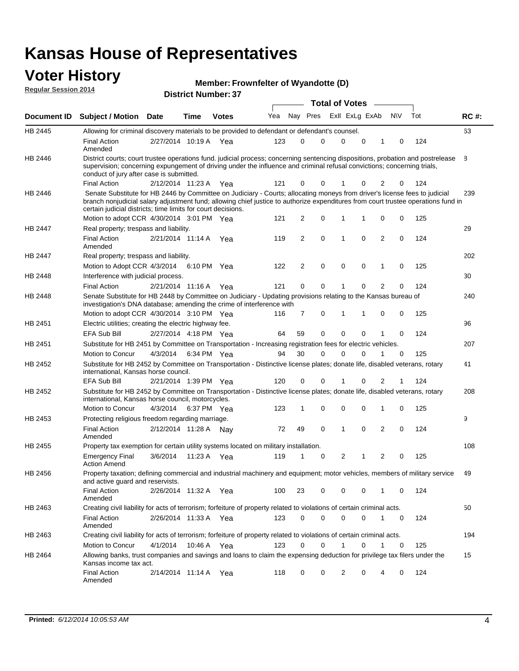### **Voter History Member:**

|                             |                                                                                                                                                                                                                                                                                                                                 |                       |                            |              | Member: Frowntelter of Wyandotte (D) |               |          |   |                       |          |          |          |     |             |
|-----------------------------|---------------------------------------------------------------------------------------------------------------------------------------------------------------------------------------------------------------------------------------------------------------------------------------------------------------------------------|-----------------------|----------------------------|--------------|--------------------------------------|---------------|----------|---|-----------------------|----------|----------|----------|-----|-------------|
| <b>Regular Session 2014</b> |                                                                                                                                                                                                                                                                                                                                 |                       | <b>District Number: 37</b> |              |                                      |               |          |   | <b>Total of Votes</b> |          |          |          |     |             |
| Document ID                 | <b>Subject / Motion Date</b>                                                                                                                                                                                                                                                                                                    |                       | Time                       | <b>Votes</b> | Yea                                  |               | Nay Pres |   | Exll ExLg ExAb        |          | N\V      |          | Tot | <b>RC#:</b> |
| HB 2445                     | Allowing for criminal discovery materials to be provided to defendant or defendant's counsel.                                                                                                                                                                                                                                   |                       |                            |              |                                      |               |          |   |                       |          |          |          |     | 63          |
|                             | <b>Final Action</b><br>Amended                                                                                                                                                                                                                                                                                                  | 2/27/2014 10:19 A     |                            | Yea          | 123                                  | $\Omega$      | $\Omega$ |   | 0                     | $\Omega$ | 1        | $\Omega$ | 124 |             |
| HB 2446                     | District courts; court trustee operations fund. judicial process; concerning sentencing dispositions, probation and postrelease<br>supervision; concerning expungement of driving under the influence and criminal refusal convictions; concerning trials,<br>conduct of jury after case is submitted.                          |                       |                            |              |                                      |               |          |   |                       |          |          |          |     | 8           |
|                             | <b>Final Action</b>                                                                                                                                                                                                                                                                                                             | 2/12/2014 11:23 A Yea |                            |              | 121                                  | $\Omega$      | $\Omega$ |   |                       | 0        | 2        | 0        | 124 |             |
| HB 2446                     | Senate Substitute for HB 2446 by Committee on Judiciary - Courts; allocating moneys from driver's license fees to judicial<br>branch nonjudicial salary adjustment fund; allowing chief justice to authorize expenditures from court trustee operations fund in<br>certain judicial districts; time limits for court decisions. |                       |                            |              |                                      |               |          |   |                       |          |          |          |     | 239         |
|                             | Motion to adopt CCR 4/30/2014 3:01 PM Yea                                                                                                                                                                                                                                                                                       |                       |                            |              | 121                                  | $\mathcal{P}$ | $\Omega$ |   |                       |          | $\Omega$ | $\Omega$ | 125 |             |
| <b>HB 2447</b>              | Real property; trespass and liability.                                                                                                                                                                                                                                                                                          |                       |                            |              |                                      |               |          |   |                       |          |          |          |     | 29          |
|                             | Final Action<br>Amended                                                                                                                                                                                                                                                                                                         | 2/21/2014 11:14 A     |                            | Yea          | 119                                  | $\mathcal{P}$ | $\Omega$ | 1 |                       | $\Omega$ | 2        | $\Omega$ | 124 |             |
| HB 2447                     | Real property; trespass and liability.                                                                                                                                                                                                                                                                                          |                       |                            |              |                                      |               |          |   |                       |          |          |          |     | 202         |
|                             | Motion to Adopt CCR 4/3/2014                                                                                                                                                                                                                                                                                                    |                       | 6:10 PM                    | Yea          | 122                                  | 2             | 0        |   | 0                     | 0        |          | 0        | 125 |             |

**Frownfelter of Wyandotte (D)**

|                | Amended                                                                                                                                                                                 |                       |             |     |     |          |          |              |          |                |             |     |     |
|----------------|-----------------------------------------------------------------------------------------------------------------------------------------------------------------------------------------|-----------------------|-------------|-----|-----|----------|----------|--------------|----------|----------------|-------------|-----|-----|
| <b>HB 2447</b> | Real property; trespass and liability.                                                                                                                                                  |                       |             |     |     |          |          |              |          |                |             |     | 202 |
|                | Motion to Adopt CCR 4/3/2014 6:10 PM Yea                                                                                                                                                |                       |             |     | 122 | 2        | 0        | 0            | $\Omega$ | $\mathbf{1}$   | $\mathbf 0$ | 125 |     |
| <b>HB 2448</b> | Interference with judicial process.                                                                                                                                                     |                       |             |     |     |          |          |              |          |                |             |     | 30  |
|                | <b>Final Action</b>                                                                                                                                                                     | 2/21/2014 11:16 A     |             | Yea | 121 | 0        | 0        |              | 0        | $\overline{2}$ | 0           | 124 |     |
| <b>HB 2448</b> | Senate Substitute for HB 2448 by Committee on Judiciary - Updating provisions relating to the Kansas bureau of<br>investigation's DNA database; amending the crime of interference with |                       |             |     |     |          |          |              |          |                |             |     | 240 |
|                | Motion to adopt CCR 4/30/2014 3:10 PM Yea                                                                                                                                               |                       |             |     | 116 | 7        | 0        | -1           | 1        | $\Omega$       | $\Omega$    | 125 |     |
| HB 2451        | Electric utilities; creating the electric highway fee.                                                                                                                                  |                       |             |     |     |          |          |              |          |                |             |     | 96  |
|                | <b>EFA Sub Bill</b>                                                                                                                                                                     | 2/27/2014 4:18 PM Yea |             |     | 64  | 59       | $\Omega$ | $\Omega$     | 0        | 1              | $\Omega$    | 124 |     |
| HB 2451        | Substitute for HB 2451 by Committee on Transportation - Increasing registration fees for electric vehicles.                                                                             |                       |             |     |     |          |          |              |          |                |             |     | 207 |
|                | <b>Motion to Concur</b>                                                                                                                                                                 | 4/3/2014              | 6:34 PM Yea |     | 94  | 30       | $\Omega$ | $\Omega$     | U        |                | 0           | 125 |     |
| HB 2452        | Substitute for HB 2452 by Committee on Transportation - Distinctive license plates; donate life, disabled veterans, rotary<br>international, Kansas horse council.                      |                       |             |     |     |          |          |              |          |                |             |     | 41  |
|                | <b>EFA Sub Bill</b>                                                                                                                                                                     | 2/21/2014 1:39 PM Yea |             |     | 120 | 0        | 0        |              | 0        | 2              |             | 124 |     |
| HB 2452        | Substitute for HB 2452 by Committee on Transportation - Distinctive license plates; donate life, disabled veterans, rotary<br>international, Kansas horse council, motorcycles.         |                       |             |     |     |          |          |              |          |                |             |     | 208 |
|                | <b>Motion to Concur</b>                                                                                                                                                                 | 4/3/2014              | 6:37 PM Yea |     | 123 | 1        | 0        | 0            | 0        | 1              | 0           | 125 |     |
| HB 2453        | Protecting religious freedom regarding marriage.                                                                                                                                        |                       |             |     |     |          |          |              |          |                |             |     | 9   |
|                | <b>Final Action</b><br>Amended                                                                                                                                                          | 2/12/2014 11:28 A     |             | Nav | 72  | 49       | $\Omega$ | $\mathbf{1}$ | $\Omega$ | 2              | $\Omega$    | 124 |     |
| HB 2455        | Property tax exemption for certain utility systems located on military installation.                                                                                                    |                       |             |     |     |          |          |              |          |                |             |     | 108 |
|                | <b>Emergency Final</b><br><b>Action Amend</b>                                                                                                                                           | 3/6/2014              | 11:23 A Yea |     | 119 | 1        | 0        | 2            | 1        | 2              | $\mathbf 0$ | 125 |     |
| HB 2456        | Property taxation; defining commercial and industrial machinery and equipment; motor vehicles, members of military service<br>and active guard and reservists.                          |                       |             |     |     |          |          |              |          |                |             |     | 49  |
|                | <b>Final Action</b><br>Amended                                                                                                                                                          | 2/26/2014 11:32 A     |             | Yea | 100 | 23       | 0        | $\Omega$     | 0        | 1              | $\Omega$    | 124 |     |
| HB 2463        | Creating civil liability for acts of terrorism; forfeiture of property related to violations of certain criminal acts.                                                                  |                       |             |     |     |          |          |              |          |                |             |     | 50  |
|                | <b>Final Action</b><br>Amended                                                                                                                                                          | 2/26/2014 11:33 A     |             | Yea | 123 | 0        | 0        | $\Omega$     | 0        |                | $\mathbf 0$ | 124 |     |
| HB 2463        | Creating civil liability for acts of terrorism; forfeiture of property related to violations of certain criminal acts.                                                                  |                       |             |     |     |          |          |              |          |                |             |     | 194 |
|                | Motion to Concur                                                                                                                                                                        | 4/1/2014              | 10:46 A     | Yea | 123 | $\Omega$ | ი        |              | 0        |                | 0           | 125 |     |
| HB 2464        | Allowing banks, trust companies and savings and loans to claim the expensing deduction for privilege tax filers under the<br>Kansas income tax act.                                     |                       |             |     |     |          |          |              |          |                |             |     | 15  |
|                | <b>Final Action</b><br>Amended                                                                                                                                                          | 2/14/2014 11:14 A     |             | Yea | 118 | 0        | 0        | 2            | 0        |                | 0           | 124 |     |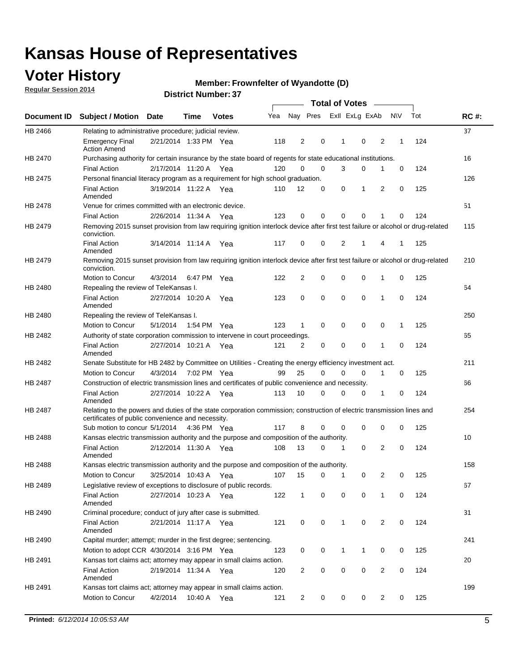### **Voter History**

**Regular Session 2014**

#### **Member: Frownfelter of Wyandotte (D)**

|         |                                                                                                                                                                             |                       |             |              |     |              |   | <b>Total of Votes</b> |             |                |             |     |             |
|---------|-----------------------------------------------------------------------------------------------------------------------------------------------------------------------------|-----------------------|-------------|--------------|-----|--------------|---|-----------------------|-------------|----------------|-------------|-----|-------------|
|         | Document ID Subject / Motion Date                                                                                                                                           |                       | Time        | <b>Votes</b> | Yea | Nay Pres     |   | Exll ExLg ExAb        |             |                | <b>NV</b>   | Tot | <b>RC#:</b> |
| HB 2466 | Relating to administrative procedure; judicial review.                                                                                                                      |                       |             |              |     |              |   |                       |             |                |             |     | 37          |
|         | <b>Emergency Final</b><br><b>Action Amend</b>                                                                                                                               | 2/21/2014 1:33 PM Yea |             |              | 118 | 2            | 0 | 1                     | $\mathbf 0$ | 2              | 1           | 124 |             |
| HB 2470 | Purchasing authority for certain insurance by the state board of regents for state educational institutions.                                                                |                       |             |              |     |              |   |                       |             |                |             |     | 16          |
|         | <b>Final Action</b>                                                                                                                                                         | 2/17/2014 11:20 A Yea |             |              | 120 | 0            | 0 | 3                     | 0           | 1              | 0           | 124 |             |
| HB 2475 | Personal financial literacy program as a requirement for high school graduation.                                                                                            |                       |             |              |     |              |   |                       |             |                |             |     | 126         |
|         | <b>Final Action</b><br>Amended                                                                                                                                              | 3/19/2014 11:22 A Yea |             |              | 110 | 12           | 0 | 0                     | 1           | 2              | 0           | 125 |             |
| HB 2478 | Venue for crimes committed with an electronic device.                                                                                                                       |                       |             |              |     |              |   |                       |             |                |             |     | 51          |
|         | <b>Final Action</b>                                                                                                                                                         | 2/26/2014 11:34 A     |             | Yea          | 123 | 0            | 0 | 0                     | $\mathbf 0$ | 1              | $\mathbf 0$ | 124 |             |
| HB 2479 | Removing 2015 sunset provision from law requiring ignition interlock device after first test failure or alcohol or drug-related<br>conviction.                              |                       |             |              |     |              |   |                       |             |                |             |     | 115         |
|         | <b>Final Action</b><br>Amended                                                                                                                                              | 3/14/2014 11:14 A     |             | Yea          | 117 | 0            | 0 | 2                     | 1           | 4              | 1           | 125 |             |
| HB 2479 | Removing 2015 sunset provision from law requiring ignition interlock device after first test failure or alcohol or drug-related<br>conviction.                              |                       |             |              |     |              |   |                       |             |                |             |     | 210         |
|         | Motion to Concur                                                                                                                                                            | 4/3/2014              |             | 6:47 PM Yea  | 122 | 2            | 0 | 0                     | 0           | 1              | 0           | 125 |             |
| HB 2480 | Repealing the review of TeleKansas I.                                                                                                                                       |                       |             |              |     |              |   |                       |             |                |             |     | 64          |
|         | <b>Final Action</b><br>Amended                                                                                                                                              | 2/27/2014 10:20 A     |             | Yea          | 123 | 0            | 0 | 0                     | 0           | 1              | 0           | 124 |             |
| HB 2480 | Repealing the review of TeleKansas I.                                                                                                                                       |                       |             |              |     |              |   |                       |             |                |             |     | 250         |
|         | Motion to Concur                                                                                                                                                            | 5/1/2014              | 1:54 PM Yea |              | 123 | $\mathbf 1$  | 0 | 0                     | 0           | 0              | 1           | 125 |             |
| HB 2482 | Authority of state corporation commission to intervene in court proceedings.                                                                                                |                       |             |              |     |              |   |                       |             |                |             |     | 65          |
|         | <b>Final Action</b><br>Amended                                                                                                                                              | 2/27/2014 10:21 A     |             | Yea          | 121 | 2            | 0 | $\mathbf 0$           | 0           | 1              | $\mathbf 0$ | 124 |             |
| HB 2482 | Senate Substitute for HB 2482 by Committee on Utilities - Creating the energy efficiency investment act.                                                                    |                       |             |              |     |              |   |                       |             |                |             |     | 211         |
|         | Motion to Concur                                                                                                                                                            | 4/3/2014 7:02 PM Yea  |             |              | 99  | 25           | 0 | 0                     | 0           | 1              | 0           | 125 |             |
| HB 2487 | Construction of electric transmission lines and certificates of public convenience and necessity.                                                                           |                       |             |              |     |              |   |                       |             |                |             |     | 66          |
|         | <b>Final Action</b><br>Amended                                                                                                                                              | 2/27/2014 10:22 A Yea |             |              | 113 | 10           | 0 | 0                     | 0           | 1              | 0           | 124 |             |
| HB 2487 | Relating to the powers and duties of the state corporation commission; construction of electric transmission lines and<br>certificates of public convenience and necessity. |                       |             |              |     |              |   |                       |             |                |             |     | 254         |
|         | Sub motion to concur 5/1/2014                                                                                                                                               |                       |             | 4:36 PM Yea  | 117 | 8            | 0 | 0                     | 0           | 0              | 0           | 125 |             |
| HB 2488 | Kansas electric transmission authority and the purpose and composition of the authority.                                                                                    |                       |             |              |     |              |   |                       |             |                |             |     | 10          |
|         | <b>Final Action</b><br>Amended                                                                                                                                              | 2/12/2014 11:30 A Yea |             |              | 108 | 13           | 0 | 1                     | 0           | 2              | 0           | 124 |             |
| HB 2488 | Kansas electric transmission authority and the purpose and composition of the authority.                                                                                    |                       |             |              |     |              |   |                       |             |                |             |     | 158         |
|         | <b>Motion to Concur</b>                                                                                                                                                     | 3/25/2014 10:43 A     |             | Yea          | 107 | 15           | 0 | 1                     | 0           | 2              | 0           | 125 |             |
| HB 2489 | Legislative review of exceptions to disclosure of public records.                                                                                                           |                       |             |              |     |              |   |                       |             |                |             |     | 67          |
|         | <b>Final Action</b><br>Amended                                                                                                                                              | 2/27/2014 10:23 A Yea |             |              | 122 | $\mathbf{1}$ | 0 | 0                     | $\mathbf 0$ | 1              | 0           | 124 |             |
| HB 2490 | Criminal procedure; conduct of jury after case is submitted.                                                                                                                |                       |             |              |     |              |   |                       |             |                |             |     | 31          |
|         | <b>Final Action</b><br>Amended                                                                                                                                              | 2/21/2014 11:17 A Yea |             |              | 121 | 0            | 0 | 1                     | 0           | 2              | 0           | 124 |             |
| HB 2490 | Capital murder; attempt; murder in the first degree; sentencing.                                                                                                            |                       |             |              |     |              |   |                       |             |                |             |     | 241         |
|         | Motion to adopt CCR 4/30/2014 3:16 PM Yea                                                                                                                                   |                       |             |              | 123 | 0            | 0 | 1                     | 1           | 0              | 0           | 125 |             |
| HB 2491 | Kansas tort claims act; attorney may appear in small claims action.                                                                                                         |                       |             |              |     |              |   |                       |             |                |             |     | 20          |
|         | <b>Final Action</b><br>Amended                                                                                                                                              | 2/19/2014 11:34 A Yea |             |              | 120 | 2            | 0 | 0                     | 0           | $\overline{2}$ | 0           | 124 |             |
| HB 2491 | Kansas tort claims act; attorney may appear in small claims action.                                                                                                         |                       |             |              |     |              |   |                       |             |                |             |     | 199         |
|         | Motion to Concur                                                                                                                                                            | 4/2/2014              |             | 10:40 A Yea  | 121 | 2            | 0 | 0                     | 0           | $\overline{2}$ | 0           | 125 |             |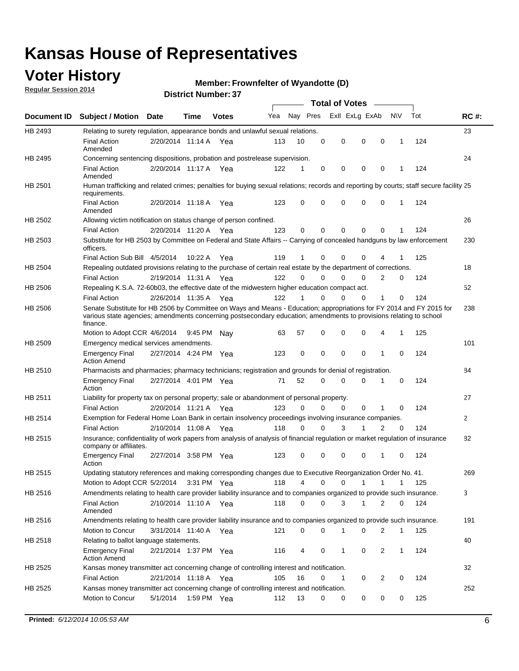### **Voter History**

**Regular Session 2014**

#### **Member: Frownfelter of Wyandotte (D)**

|                    |                                                                                                                                                                                                                                                        |                       |         |              |     |          |          | <b>Total of Votes</b> |              |                |              |     |             |
|--------------------|--------------------------------------------------------------------------------------------------------------------------------------------------------------------------------------------------------------------------------------------------------|-----------------------|---------|--------------|-----|----------|----------|-----------------------|--------------|----------------|--------------|-----|-------------|
| <b>Document ID</b> | <b>Subject / Motion Date</b>                                                                                                                                                                                                                           |                       | Time    | <b>Votes</b> | Yea | Nay Pres |          | Exll ExLg ExAb        |              |                | <b>NV</b>    | Tot | <b>RC#:</b> |
| HB 2493            | Relating to surety regulation, appearance bonds and unlawful sexual relations.                                                                                                                                                                         |                       |         |              |     |          |          |                       |              |                |              |     | 23          |
|                    | <b>Final Action</b><br>Amended                                                                                                                                                                                                                         | 2/20/2014 11:14 A     |         | Yea          | 113 | 10       | 0        | 0                     | 0            | 0              | 1            | 124 |             |
| HB 2495            | Concerning sentencing dispositions, probation and postrelease supervision.                                                                                                                                                                             |                       |         |              |     |          |          |                       |              |                |              |     | 24          |
|                    | Final Action<br>Amended                                                                                                                                                                                                                                | 2/20/2014 11:17 A Yea |         |              | 122 | 1        | 0        | 0                     | 0            | 0              | 1            | 124 |             |
| HB 2501            | Human trafficking and related crimes; penalties for buying sexual relations; records and reporting by courts; staff secure facility 25<br>requirements.                                                                                                |                       |         |              |     |          |          |                       |              |                |              |     |             |
|                    | <b>Final Action</b><br>Amended                                                                                                                                                                                                                         | 2/20/2014 11:18 A Yea |         |              | 123 | $\Omega$ | 0        | 0                     | 0            | 0              | 1            | 124 |             |
| HB 2502            | Allowing victim notification on status change of person confined.                                                                                                                                                                                      |                       |         |              |     |          |          |                       |              |                |              |     | 26          |
|                    | Final Action                                                                                                                                                                                                                                           | 2/20/2014 11:20 A Yea |         |              | 123 | 0        | 0        | $\Omega$              | $\mathbf{0}$ | 0              |              | 124 |             |
| HB 2503            | Substitute for HB 2503 by Committee on Federal and State Affairs -- Carrying of concealed handguns by law enforcement<br>officers.                                                                                                                     |                       |         |              |     |          |          |                       |              |                |              |     | 230         |
|                    | Final Action Sub Bill 4/5/2014                                                                                                                                                                                                                         |                       | 10:22 A | Yea          | 119 |          | 0        | 0                     | 0            | 4              |              | 125 |             |
| HB 2504            | Repealing outdated provisions relating to the purchase of certain real estate by the department of corrections.                                                                                                                                        |                       |         |              |     |          |          |                       |              |                |              |     | 18          |
|                    | <b>Final Action</b>                                                                                                                                                                                                                                    | 2/19/2014 11:31 A Yea |         |              | 122 | $\Omega$ | 0        | $\Omega$              | $\Omega$     | 2              | 0            | 124 |             |
| HB 2506            | Repealing K.S.A. 72-60b03, the effective date of the midwestern higher education compact act.                                                                                                                                                          |                       |         |              |     |          |          |                       |              |                |              |     | 52          |
|                    | <b>Final Action</b>                                                                                                                                                                                                                                    | 2/26/2014 11:35 A Yea |         |              | 122 |          | 0        | 0                     | 0            | 1              | 0            | 124 |             |
| HB 2506            | Senate Substitute for HB 2506 by Committee on Ways and Means - Education; appropriations for FY 2014 and FY 2015 for<br>various state agencies; amendments concerning postsecondary education; amendments to provisions relating to school<br>finance. |                       |         |              |     |          |          |                       |              |                |              |     | 238         |
|                    | Motion to Adopt CCR 4/6/2014                                                                                                                                                                                                                           |                       | 9:45 PM | Nav          | 63  | 57       | 0        | 0                     | 0            | 4              | 1            | 125 |             |
| HB 2509            | Emergency medical services amendments.                                                                                                                                                                                                                 |                       |         |              |     |          |          |                       |              |                |              |     | 101         |
|                    | <b>Emergency Final</b><br><b>Action Amend</b>                                                                                                                                                                                                          | 2/27/2014 4:24 PM Yea |         |              | 123 | 0        | 0        | 0                     | 0            | 1              | $\mathbf 0$  | 124 |             |
| HB 2510            | Pharmacists and pharmacies; pharmacy technicians; registration and grounds for denial of registration.                                                                                                                                                 |                       |         |              |     |          |          |                       |              |                |              |     | 84          |
|                    | <b>Emergency Final</b><br>Action                                                                                                                                                                                                                       | 2/27/2014 4:01 PM Yea |         |              | 71  | 52       | 0        | 0                     | 0            | 1              | 0            | 124 |             |
| HB 2511            | Liability for property tax on personal property; sale or abandonment of personal property.                                                                                                                                                             |                       |         |              |     |          |          |                       |              |                |              |     | 27          |
|                    | <b>Final Action</b>                                                                                                                                                                                                                                    | 2/20/2014 11:21 A Yea |         |              | 123 | $\Omega$ | 0        | 0                     | 0            | 1              | $\mathbf 0$  | 124 |             |
| HB 2514            | Exemption for Federal Home Loan Bank in certain insolvency proceedings involving insurance companies.                                                                                                                                                  |                       |         |              |     |          |          |                       |              |                |              |     | 2           |
|                    | <b>Final Action</b>                                                                                                                                                                                                                                    | 2/10/2014 11:08 A Yea |         |              | 118 | $\Omega$ | $\Omega$ | 3                     | 1            | $\overline{2}$ | $\mathbf 0$  | 124 |             |
| HB 2515            | Insurance; confidentiality of work papers from analysis of analysis of financial regulation or market regulation of insurance<br>company or affiliates.                                                                                                |                       |         |              |     |          |          |                       |              |                |              |     | 82          |
|                    | <b>Emergency Final</b><br>Action                                                                                                                                                                                                                       | 2/27/2014 3:58 PM Yea |         |              | 123 | 0        | 0        | 0                     | 0            | 1              | 0            | 124 |             |
| HB 2515            | Updating statutory references and making corresponding changes due to Executive Reorganization Order No. 41.                                                                                                                                           |                       |         |              |     |          |          |                       |              |                |              |     | 269         |
|                    | Motion to Adopt CCR 5/2/2014 3:31 PM Yea                                                                                                                                                                                                               |                       |         |              | 118 | 4        | 0        | 0                     | 1            | $\mathbf{1}$   | $\mathbf{1}$ | 125 |             |
| HB 2516            | Amendments relating to health care provider liability insurance and to companies organized to provide such insurance.                                                                                                                                  |                       |         |              |     |          |          |                       |              |                |              |     | 3           |
|                    | <b>Final Action</b><br>Amended                                                                                                                                                                                                                         | 2/10/2014 11:10 A Yea |         |              | 118 | 0        | 0        | 3                     | $\mathbf{1}$ | 2              | 0            | 124 |             |
| HB 2516            | Amendments relating to health care provider liability insurance and to companies organized to provide such insurance.                                                                                                                                  |                       |         |              |     |          |          |                       |              |                |              |     | 191         |
|                    | Motion to Concur                                                                                                                                                                                                                                       | 3/31/2014 11:40 A Yea |         |              | 121 | 0        | 0        | 1                     | 0            | 2              | 1            | 125 |             |
| HB 2518            | Relating to ballot language statements.                                                                                                                                                                                                                |                       |         |              |     |          |          |                       |              |                |              |     | 40          |
|                    | Emergency Final<br><b>Action Amend</b>                                                                                                                                                                                                                 | 2/21/2014 1:37 PM Yea |         |              | 116 | 4        | 0        | 1                     | 0            | 2              | 1            | 124 |             |
| HB 2525            | Kansas money transmitter act concerning change of controlling interest and notification.                                                                                                                                                               |                       |         |              |     |          |          |                       |              |                |              |     | 32          |
|                    | <b>Final Action</b>                                                                                                                                                                                                                                    | 2/21/2014 11:18 A Yea |         |              | 105 | 16       | 0        | $\mathbf{1}$          | 0            | 2              | 0            | 124 |             |
| HB 2525            | Kansas money transmitter act concerning change of controlling interest and notification.                                                                                                                                                               |                       |         |              |     |          |          |                       |              |                |              |     | 252         |
|                    | Motion to Concur                                                                                                                                                                                                                                       | 5/1/2014              |         | 1:59 PM Yea  | 112 | 13       | 0        | 0                     | 0            | 0              | 0            | 125 |             |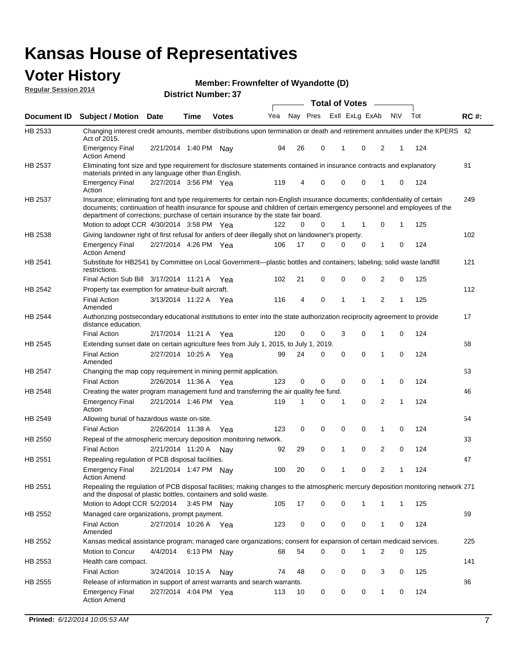#### **Voter History Regular Session 2014**

**Member: Frownfelter of Wyandotte (D)** 

|                    |                                                                                                                                                                                                                                                                                                                                           |                       |             | <b>DISTRICT MAILINGLES</b> |     |    |             | <b>Total of Votes</b> |                |                |     |     |             |
|--------------------|-------------------------------------------------------------------------------------------------------------------------------------------------------------------------------------------------------------------------------------------------------------------------------------------------------------------------------------------|-----------------------|-------------|----------------------------|-----|----|-------------|-----------------------|----------------|----------------|-----|-----|-------------|
| <b>Document ID</b> | <b>Subject / Motion</b>                                                                                                                                                                                                                                                                                                                   | <b>Date</b>           | Time        | <b>Votes</b>               | Yea |    | Nay Pres    |                       | Exll ExLg ExAb |                | N\V | Tot | <b>RC#:</b> |
| HB 2533            | Changing interest credit amounts, member distributions upon termination or death and retirement annuities under the KPERS 42<br>Act of 2015.                                                                                                                                                                                              |                       |             |                            |     |    |             |                       |                |                |     |     |             |
|                    | <b>Emergency Final</b><br><b>Action Amend</b>                                                                                                                                                                                                                                                                                             | 2/21/2014 1:40 PM     |             | Nav                        | 94  | 26 | 0           | 1                     | 0              | 2              | 1   | 124 |             |
| HB 2537            | Eliminating font size and type requirement for disclosure statements contained in insurance contracts and explanatory<br>materials printed in any language other than English.                                                                                                                                                            |                       |             |                            |     |    |             |                       |                |                |     |     | 81          |
|                    | <b>Emergency Final</b><br>Action                                                                                                                                                                                                                                                                                                          | 2/27/2014 3:56 PM Yea |             |                            | 119 | 4  | 0           | $\mathbf 0$           | $\mathbf 0$    | 1              | 0   | 124 |             |
| HB 2537            | Insurance; eliminating font and type requirements for certain non-English insurance documents; confidentiality of certain<br>documents; continuation of health insurance for spouse and children of certain emergency personnel and employees of the<br>department of corrections; purchase of certain insurance by the state fair board. |                       |             |                            |     |    |             |                       |                |                |     |     | 249         |
|                    | Motion to adopt CCR 4/30/2014 3:58 PM Yea                                                                                                                                                                                                                                                                                                 |                       |             |                            | 122 | 0  | 0           | 1                     | 1              | 0              | 1   | 125 |             |
| HB 2538            | Giving landowner right of first refusal for antlers of deer illegally shot on landowner's property.                                                                                                                                                                                                                                       |                       |             |                            |     |    |             |                       |                |                |     |     | 102         |
|                    | <b>Emergency Final</b><br><b>Action Amend</b>                                                                                                                                                                                                                                                                                             | 2/27/2014 4:26 PM Yea |             |                            | 106 | 17 | 0           | $\mathbf 0$           | 0              | 1              | 0   | 124 |             |
| HB 2541            | Substitute for HB2541 by Committee on Local Government—plastic bottles and containers; labeling; solid waste landfill<br>restrictions.                                                                                                                                                                                                    |                       |             |                            |     |    |             |                       |                |                |     |     | 121         |
|                    | Final Action Sub Bill 3/17/2014 11:21 A Yea                                                                                                                                                                                                                                                                                               |                       |             |                            | 102 | 21 | 0           | $\mathbf 0$           | 0              | 2              | 0   | 125 |             |
| HB 2542            | Property tax exemption for amateur-built aircraft.                                                                                                                                                                                                                                                                                        |                       |             |                            |     |    |             |                       |                |                |     |     | 112         |
|                    | <b>Final Action</b><br>Amended                                                                                                                                                                                                                                                                                                            | 3/13/2014 11:22 A Yea |             |                            | 116 | 4  | $\mathbf 0$ | $\mathbf{1}$          | 1              | $\overline{2}$ | 1   | 125 |             |
| <b>HB 2544</b>     | Authorizing postsecondary educational institutions to enter into the state authorization reciprocity agreement to provide<br>distance education.                                                                                                                                                                                          |                       |             |                            |     |    |             |                       |                |                |     |     | 17          |
|                    | <b>Final Action</b>                                                                                                                                                                                                                                                                                                                       | 2/17/2014 11:21 A Yea |             |                            | 120 | 0  | 0           | 3                     | 0              | 1              | 0   | 124 |             |
| HB 2545            | Extending sunset date on certain agriculture fees from July 1, 2015, to July 1, 2019.                                                                                                                                                                                                                                                     |                       |             |                            |     |    |             |                       |                |                |     |     | 68          |
|                    | <b>Final Action</b><br>Amended                                                                                                                                                                                                                                                                                                            | 2/27/2014 10:25 A Yea |             |                            | 99  | 24 | 0           | $\mathbf 0$           | $\Omega$       | 1              | 0   | 124 |             |
| HB 2547            | Changing the map copy requirement in mining permit application.                                                                                                                                                                                                                                                                           |                       |             |                            |     |    |             |                       |                |                |     |     | 53          |
|                    | <b>Final Action</b>                                                                                                                                                                                                                                                                                                                       | 2/26/2014 11:36 A     |             | Yea                        | 123 | 0  | 0           | 0                     | 0              | 1              | 0   | 124 |             |
| HB 2548            | Creating the water program management fund and transferring the air quality fee fund.                                                                                                                                                                                                                                                     |                       |             |                            |     |    |             |                       |                |                |     |     | 46          |
|                    | <b>Emergency Final</b><br>Action                                                                                                                                                                                                                                                                                                          | 2/21/2014 1:46 PM Yea |             |                            | 119 | 1  | 0           | 1                     | $\mathbf 0$    | 2              | 1   | 124 |             |
| HB 2549            | Allowing burial of hazardous waste on-site.                                                                                                                                                                                                                                                                                               |                       |             |                            |     |    |             |                       |                |                |     |     | 54          |
|                    | <b>Final Action</b>                                                                                                                                                                                                                                                                                                                       | 2/26/2014 11:38 A     |             | Yea                        | 123 | 0  | 0           | $\mathbf 0$           | 0              | 1              | 0   | 124 |             |
| HB 2550            | Repeal of the atmospheric mercury deposition monitoring network.                                                                                                                                                                                                                                                                          |                       |             |                            |     |    |             |                       |                |                |     |     | 33          |
|                    | <b>Final Action</b>                                                                                                                                                                                                                                                                                                                       | 2/21/2014 11:20 A     |             | Nav                        | 92  | 29 | 0           | 1                     | $\mathbf 0$    | 2              | 0   | 124 |             |
| HB 2551            | Repealing regulation of PCB disposal facilities.                                                                                                                                                                                                                                                                                          |                       |             |                            |     |    |             |                       |                |                |     |     | 47          |
|                    | <b>Emergency Final</b><br><b>Action Amend</b>                                                                                                                                                                                                                                                                                             | 2/21/2014 1:47 PM Nay |             |                            | 100 | 20 | 0           | 1                     | 0              | 2              | 1   | 124 |             |
| HB 2551            | Repealing the regulation of PCB disposal facilities; making changes to the atmospheric mercury deposition monitoring network 271<br>and the disposal of plastic bottles, containers and solid waste.                                                                                                                                      |                       |             |                            |     |    |             |                       |                |                |     |     |             |
|                    | Motion to Adopt CCR 5/2/2014 3:45 PM Nay                                                                                                                                                                                                                                                                                                  |                       |             |                            | 105 | 17 | 0           | 0                     | 1              | 1              | 1   | 125 |             |
| HB 2552            | Managed care organizations, prompt payment.                                                                                                                                                                                                                                                                                               |                       |             |                            |     |    |             |                       |                |                |     |     | 69          |
|                    | <b>Final Action</b><br>Amended                                                                                                                                                                                                                                                                                                            | 2/27/2014 10:26 A Yea |             |                            | 123 | 0  | 0           | 0                     | 0              | 1              | 0   | 124 |             |
| HB 2552            | Kansas medical assistance program; managed care organizations; consent for expansion of certain medicaid services.                                                                                                                                                                                                                        |                       |             |                            |     |    |             |                       |                |                |     |     | 225         |
|                    | Motion to Concur                                                                                                                                                                                                                                                                                                                          | 4/4/2014              | 6:13 PM Nay |                            | 68  | 54 | 0           | $\mathbf 0$           | 1              | 2              | 0   | 125 |             |
| HB 2553            | Health care compact.                                                                                                                                                                                                                                                                                                                      |                       |             |                            |     |    |             |                       |                |                |     |     | 141         |
|                    | <b>Final Action</b>                                                                                                                                                                                                                                                                                                                       | 3/24/2014 10:15 A     |             | Nay                        | 74  | 48 | 0           | 0                     | 0              | 3              | 0   | 125 |             |
| HB 2555            | Release of information in support of arrest warrants and search warrants.                                                                                                                                                                                                                                                                 |                       |             |                            |     |    |             |                       |                |                |     |     | 86          |
|                    | <b>Emergency Final</b><br><b>Action Amend</b>                                                                                                                                                                                                                                                                                             | 2/27/2014 4:04 PM Yea |             |                            | 113 | 10 | 0           | 0                     | 0              | $\mathbf{1}$   | 0   | 124 |             |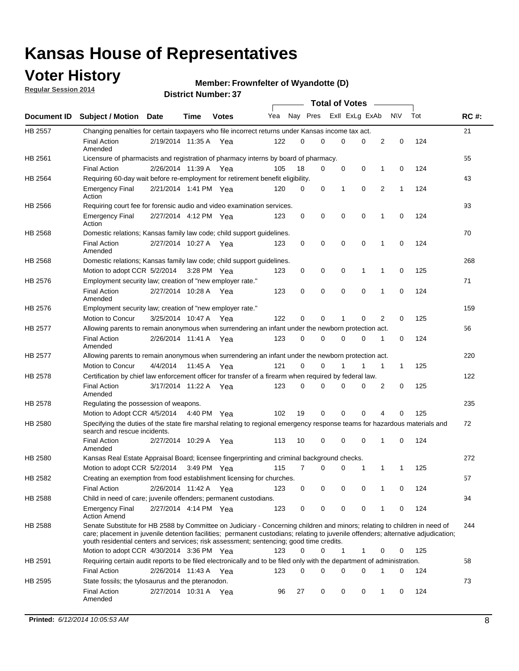### **Voter History**

**Regular Session 2014**

#### **Member: Frownfelter of Wyandotte (D)**

|         |                                                                                                                                                                                                                                                                                                                                                           |                       |             | <b>DISTRICT MAILINGLES</b> |     |          |             |              | <b>Total of Votes</b>      |                |     |     |             |
|---------|-----------------------------------------------------------------------------------------------------------------------------------------------------------------------------------------------------------------------------------------------------------------------------------------------------------------------------------------------------------|-----------------------|-------------|----------------------------|-----|----------|-------------|--------------|----------------------------|----------------|-----|-----|-------------|
|         | Document ID Subject / Motion Date                                                                                                                                                                                                                                                                                                                         |                       | <b>Time</b> | <b>Votes</b>               | Yea |          | Nay Pres    |              | Exll ExLg ExAb             |                | N\V | Tot | <b>RC#:</b> |
| HB 2557 | Changing penalties for certain taxpayers who file incorrect returns under Kansas income tax act.                                                                                                                                                                                                                                                          |                       |             |                            |     |          |             |              |                            |                |     |     | 21          |
|         | <b>Final Action</b><br>Amended                                                                                                                                                                                                                                                                                                                            | 2/19/2014 11:35 A Yea |             |                            | 122 | 0        | 0           |              | 0<br>0                     | $\overline{2}$ | 0   | 124 |             |
| HB 2561 | Licensure of pharmacists and registration of pharmacy interns by board of pharmacy.                                                                                                                                                                                                                                                                       |                       |             |                            |     |          |             |              |                            |                |     |     | 55          |
|         | <b>Final Action</b>                                                                                                                                                                                                                                                                                                                                       | 2/26/2014 11:39 A     |             | Yea                        | 105 | 18       | 0           |              | 0<br>0                     | 1              | 0   | 124 |             |
| HB 2564 | Requiring 60-day wait before re-employment for retirement benefit eligibility.                                                                                                                                                                                                                                                                            |                       |             |                            |     |          |             |              |                            |                |     |     | 43          |
|         | <b>Emergency Final</b><br>Action                                                                                                                                                                                                                                                                                                                          | 2/21/2014 1:41 PM Yea |             |                            | 120 | 0        | 0           | 1            | $\mathbf 0$                | $\overline{2}$ | 1   | 124 |             |
| HB 2566 | Requiring court fee for forensic audio and video examination services.                                                                                                                                                                                                                                                                                    |                       |             |                            |     |          |             |              |                            |                |     |     | 93          |
|         | <b>Emergency Final</b><br>Action                                                                                                                                                                                                                                                                                                                          | 2/27/2014 4:12 PM Yea |             |                            | 123 | 0        | 0           |              | $\mathbf 0$<br>0           | 1              | 0   | 124 |             |
| HB 2568 | Domestic relations; Kansas family law code; child support guidelines.                                                                                                                                                                                                                                                                                     |                       |             |                            |     |          |             |              |                            |                |     |     | 70          |
|         | <b>Final Action</b><br>Amended                                                                                                                                                                                                                                                                                                                            | 2/27/2014 10:27 A Yea |             |                            | 123 | 0        | 0           |              | 0<br>$\mathbf 0$           | 1              | 0   | 124 |             |
| HB 2568 | Domestic relations; Kansas family law code; child support guidelines.                                                                                                                                                                                                                                                                                     |                       |             |                            |     |          |             |              |                            |                |     |     | 268         |
|         | Motion to adopt CCR 5/2/2014                                                                                                                                                                                                                                                                                                                              |                       |             | 3:28 PM Yea                | 123 | 0        | 0           |              | 0<br>1                     | 1              | 0   | 125 |             |
| HB 2576 | Employment security law; creation of "new employer rate."                                                                                                                                                                                                                                                                                                 |                       |             |                            |     |          |             |              |                            |                |     |     | 71          |
|         | <b>Final Action</b><br>Amended                                                                                                                                                                                                                                                                                                                            | 2/27/2014 10:28 A     |             | Yea                        | 123 | 0        | $\mathbf 0$ |              | $\mathbf 0$<br>$\mathbf 0$ | 1              | 0   | 124 |             |
| HB 2576 | Employment security law; creation of "new employer rate."                                                                                                                                                                                                                                                                                                 |                       |             |                            |     |          |             |              |                            |                |     |     | 159         |
|         | Motion to Concur                                                                                                                                                                                                                                                                                                                                          | 3/25/2014 10:47 A     |             | Yea                        | 122 | 0        | 0           | 1            | 0                          | 2              | 0   | 125 |             |
| HB 2577 | Allowing parents to remain anonymous when surrendering an infant under the newborn protection act.                                                                                                                                                                                                                                                        |                       |             |                            |     |          |             |              |                            |                |     |     | 56          |
|         | <b>Final Action</b><br>Amended                                                                                                                                                                                                                                                                                                                            | 2/26/2014 11:41 A     |             | Yea                        | 123 | 0        | 0           | $\mathbf 0$  | 0                          | 1              | 0   | 124 |             |
| HB 2577 | Allowing parents to remain anonymous when surrendering an infant under the newborn protection act.                                                                                                                                                                                                                                                        |                       |             |                            |     |          |             |              |                            |                |     |     | 220         |
|         | <b>Motion to Concur</b>                                                                                                                                                                                                                                                                                                                                   | 4/4/2014              | 11:45 A     | Yea                        | 121 | $\Omega$ | 0           |              | 1                          | 1              | 1   | 125 |             |
| HB 2578 | Certification by chief law enforcement officer for transfer of a firearm when required by federal law.                                                                                                                                                                                                                                                    |                       |             |                            |     |          |             |              |                            |                |     |     | 122         |
|         | <b>Final Action</b><br>Amended                                                                                                                                                                                                                                                                                                                            | 3/17/2014 11:22 A Yea |             |                            | 123 | 0        | 0           | 0            | 0                          | 2              | 0   | 125 |             |
| HB 2578 | Regulating the possession of weapons.                                                                                                                                                                                                                                                                                                                     |                       |             |                            |     |          |             |              |                            |                |     |     | 235         |
|         | Motion to Adopt CCR 4/5/2014 4:40 PM Yea                                                                                                                                                                                                                                                                                                                  |                       |             |                            | 102 | 19       | $\mathbf 0$ |              | $\mathbf 0$<br>0           | 4              | 0   | 125 |             |
| HB 2580 | Specifying the duties of the state fire marshal relating to regional emergency response teams for hazardous materials and<br>search and rescue incidents.                                                                                                                                                                                                 |                       |             |                            |     |          |             |              |                            |                |     |     | 72          |
|         | <b>Final Action</b><br>Amended                                                                                                                                                                                                                                                                                                                            | 2/27/2014 10:29 A     |             | Yea                        | 113 | 10       | 0           | $\mathbf 0$  | $\mathbf 0$                | 1              | 0   | 124 |             |
| HB 2580 | Kansas Real Estate Appraisal Board; licensee fingerprinting and criminal background checks.                                                                                                                                                                                                                                                               |                       |             |                            |     |          |             |              |                            |                |     |     | 272         |
|         | Motion to adopt CCR 5/2/2014                                                                                                                                                                                                                                                                                                                              |                       | 3:49 PM Yea |                            | 115 | 7        | 0           |              | 0<br>1                     | 1              | -1  | 125 |             |
| HB 2582 | Creating an exemption from food establishment licensing for churches.                                                                                                                                                                                                                                                                                     |                       |             |                            |     |          |             |              |                            |                |     |     | 57          |
|         | <b>Final Action</b>                                                                                                                                                                                                                                                                                                                                       | 2/26/2014 11:42 A     |             | Yea                        | 123 | 0        | 0           |              | 0<br>0                     | 1              | 0   | 124 |             |
| HB 2588 | Child in need of care; juvenile offenders; permanent custodians.                                                                                                                                                                                                                                                                                          |                       |             |                            |     |          |             |              |                            |                |     |     | 94          |
|         | <b>Emergency Final</b><br><b>Action Amend</b>                                                                                                                                                                                                                                                                                                             | 2/27/2014 4:14 PM Yea |             |                            | 123 | 0        | 0           |              | 0<br>0                     | 1              | 0   | 124 |             |
| HB 2588 | Senate Substitute for HB 2588 by Committee on Judiciary - Concerning children and minors; relating to children in need of<br>care; placement in juvenile detention facilities; permanent custodians; relating to juvenile offenders; alternative adjudication;<br>youth residential centers and services; risk assessment; sentencing; good time credits. |                       |             |                            |     |          |             |              |                            |                |     |     | 244         |
|         | Motion to adopt CCR 4/30/2014 3:36 PM Yea                                                                                                                                                                                                                                                                                                                 |                       |             |                            | 123 | $\Omega$ | 0           | $\mathbf{1}$ | 1                          | 0              | 0   | 125 |             |
| HB 2591 | Requiring certain audit reports to be filed electronically and to be filed only with the department of administration.                                                                                                                                                                                                                                    |                       |             |                            |     |          |             |              |                            |                |     |     | 58          |
|         | <b>Final Action</b>                                                                                                                                                                                                                                                                                                                                       | 2/26/2014 11:43 A Yea |             |                            | 123 | 0        | 0           |              | 0<br>0                     | 1              | 0   | 124 |             |
| HB 2595 | State fossils; the tylosaurus and the pteranodon.                                                                                                                                                                                                                                                                                                         |                       |             |                            |     |          |             |              |                            |                |     |     | 73          |
|         | <b>Final Action</b><br>Amended                                                                                                                                                                                                                                                                                                                            | 2/27/2014 10:31 A Yea |             |                            | 96  | 27       | 0           |              | 0<br>0                     | 1              | 0   | 124 |             |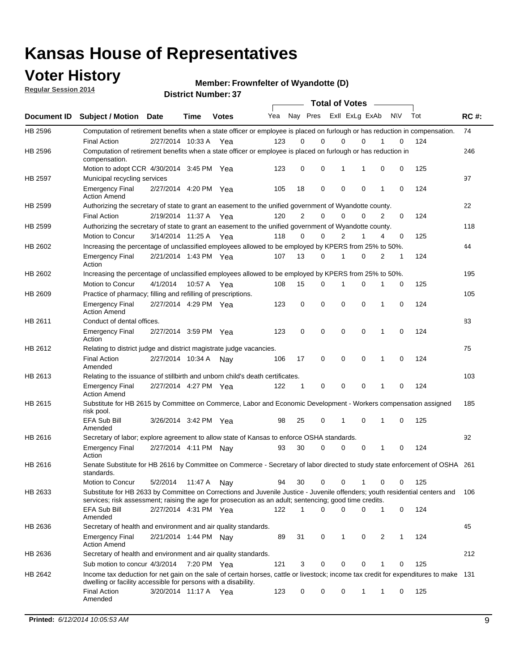### **Voter History**

**Regular Session 2014**

**Member: Frownfelter of Wyandotte (D)** 

|                |                                                                                                                                                                                                                                       |                       | DISTRICT MAILING . 31 |              |     |                |             |                | <b>Total of Votes</b> |   |           |     |             |
|----------------|---------------------------------------------------------------------------------------------------------------------------------------------------------------------------------------------------------------------------------------|-----------------------|-----------------------|--------------|-----|----------------|-------------|----------------|-----------------------|---|-----------|-----|-------------|
| Document ID    | <b>Subject / Motion</b>                                                                                                                                                                                                               | <b>Date</b>           | Time                  | <b>Votes</b> | Yea |                | Nay Pres    |                | Exll ExLg ExAb        |   | <b>NV</b> | Tot | <b>RC#:</b> |
| HB 2596        | Computation of retirement benefits when a state officer or employee is placed on furlough or has reduction in compensation.                                                                                                           |                       |                       |              |     |                |             |                |                       |   |           |     | 74          |
|                | <b>Final Action</b>                                                                                                                                                                                                                   | 2/27/2014 10:33 A     |                       | Yea          | 123 | 0              | $\Omega$    | 0              | $\Omega$              |   | 0         | 124 |             |
| HB 2596        | Computation of retirement benefits when a state officer or employee is placed on furlough or has reduction in<br>compensation.                                                                                                        |                       |                       |              |     |                |             |                |                       |   |           |     | 246         |
|                | Motion to adopt CCR 4/30/2014 3:45 PM Yea                                                                                                                                                                                             |                       |                       |              | 123 | 0              | 0           | 1              | 1                     | 0 | 0         | 125 |             |
| <b>HB 2597</b> | Municipal recycling services                                                                                                                                                                                                          |                       |                       |              |     |                |             |                |                       |   |           |     | 97          |
|                | <b>Emergency Final</b><br><b>Action Amend</b>                                                                                                                                                                                         | 2/27/2014 4:20 PM Yea |                       |              | 105 | 18             | $\mathbf 0$ | $\mathbf 0$    | $\mathbf 0$           | 1 | 0         | 124 |             |
| HB 2599        | Authorizing the secretary of state to grant an easement to the unified government of Wyandotte county.                                                                                                                                |                       |                       |              |     |                |             |                |                       |   |           |     | 22          |
|                | <b>Final Action</b>                                                                                                                                                                                                                   | 2/19/2014 11:37 A     |                       | Yea          | 120 | $\overline{2}$ | $\mathbf 0$ | 0              | $\Omega$              | 2 | 0         | 124 |             |
| HB 2599        | Authorizing the secretary of state to grant an easement to the unified government of Wyandotte county.                                                                                                                                |                       |                       |              |     |                |             |                |                       |   |           |     | 118         |
|                | Motion to Concur                                                                                                                                                                                                                      | 3/14/2014 11:25 A     |                       | Yea          | 118 | $\Omega$       | 0           | $\overline{2}$ | 1                     | 4 | 0         | 125 |             |
| HB 2602        | Increasing the percentage of unclassified employees allowed to be employed by KPERS from 25% to 50%.                                                                                                                                  |                       |                       |              |     |                |             |                |                       |   |           |     | 44          |
|                | <b>Emergency Final</b><br>Action                                                                                                                                                                                                      | 2/21/2014 1:43 PM Yea |                       |              | 107 | 13             | 0           | 1              | $\Omega$              | 2 | 1         | 124 |             |
| HB 2602        | Increasing the percentage of unclassified employees allowed to be employed by KPERS from 25% to 50%.                                                                                                                                  |                       |                       |              |     |                |             |                |                       |   |           |     | 195         |
|                | Motion to Concur                                                                                                                                                                                                                      | 4/1/2014              | 10:57 A Yea           |              | 108 | 15             | 0           | 1              | 0                     | 1 | 0         | 125 |             |
| HB 2609        | Practice of pharmacy; filling and refilling of prescriptions.                                                                                                                                                                         |                       |                       |              |     |                |             |                |                       |   |           |     | 105         |
|                | <b>Emergency Final</b><br><b>Action Amend</b>                                                                                                                                                                                         | 2/27/2014 4:29 PM Yea |                       |              | 123 | 0              | $\mathbf 0$ | $\mathbf 0$    | $\Omega$              | 1 | 0         | 124 |             |
| HB 2611        | Conduct of dental offices.                                                                                                                                                                                                            |                       |                       |              |     |                |             |                |                       |   |           |     | 83          |
|                | <b>Emergency Final</b><br>Action                                                                                                                                                                                                      | 2/27/2014 3:59 PM Yea |                       |              | 123 | 0              | $\mathbf 0$ | $\mathbf 0$    | $\mathbf 0$           | 1 | 0         | 124 |             |
| HB 2612        | Relating to district judge and district magistrate judge vacancies.                                                                                                                                                                   |                       |                       |              |     |                |             |                |                       |   |           |     | 75          |
|                | <b>Final Action</b><br>Amended                                                                                                                                                                                                        | 2/27/2014 10:34 A     |                       | Nav          | 106 | 17             | 0           | $\mathbf 0$    | $\mathbf 0$           | 1 | 0         | 124 |             |
| HB 2613        | Relating to the issuance of stillbirth and unborn child's death certificates.                                                                                                                                                         |                       |                       |              |     |                |             |                |                       |   |           |     | 103         |
|                | <b>Emergency Final</b><br><b>Action Amend</b>                                                                                                                                                                                         | 2/27/2014 4:27 PM Yea |                       |              | 122 | 1              | 0           | $\mathbf 0$    | $\Omega$              | 1 | 0         | 124 |             |
| HB 2615        | Substitute for HB 2615 by Committee on Commerce, Labor and Economic Development - Workers compensation assigned<br>risk pool.                                                                                                         |                       |                       |              |     |                |             |                |                       |   |           |     | 185         |
|                | EFA Sub Bill<br>Amended                                                                                                                                                                                                               | 3/26/2014 3:42 PM Yea |                       |              | 98  | 25             | 0           | 1              | $\mathbf 0$           | 1 | 0         | 125 |             |
| HB 2616        | Secretary of labor; explore agreement to allow state of Kansas to enforce OSHA standards.                                                                                                                                             |                       |                       |              |     |                |             |                |                       |   |           |     | 92          |
|                | <b>Emergency Final</b><br>Action                                                                                                                                                                                                      | 2/27/2014 4:11 PM Nay |                       |              | 93  | 30             | 0           | 0              | 0                     | 1 | 0         | 124 |             |
| HB 2616        | Senate Substitute for HB 2616 by Committee on Commerce - Secretary of labor directed to study state enforcement of OSHA 261<br>standards.                                                                                             |                       |                       |              |     |                |             |                |                       |   |           |     |             |
|                | Motion to Concur                                                                                                                                                                                                                      | 5/2/2014              | 11:47 A Nay           |              | 94  | 30             | 0           | 0              | 1                     | 0 | 0         | 125 |             |
| HB 2633        | Substitute for HB 2633 by Committee on Corrections and Juvenile Justice - Juvenile offenders; youth residential centers and<br>services; risk assessment; raising the age for prosecution as an adult; sentencing; good time credits. |                       |                       |              |     |                |             |                |                       |   |           |     | 106         |
|                | EFA Sub Bill<br>Amended                                                                                                                                                                                                               | 2/27/2014 4:31 PM Yea |                       |              | 122 | 1              | 0           | $\Omega$       | 0                     | 1 | 0         | 124 |             |
| HB 2636        | Secretary of health and environment and air quality standards.                                                                                                                                                                        |                       |                       |              |     |                |             |                |                       |   |           |     | 45          |
|                | <b>Emergency Final</b><br><b>Action Amend</b>                                                                                                                                                                                         | 2/21/2014 1:44 PM Nav |                       |              | 89  | 31             | 0           | 1              | 0                     | 2 | 1         | 124 |             |
| HB 2636        | Secretary of health and environment and air quality standards.                                                                                                                                                                        |                       |                       |              |     |                |             |                |                       |   |           |     | 212         |
|                | Sub motion to concur 4/3/2014                                                                                                                                                                                                         |                       | 7:20 PM Yea           |              | 121 | 3              | 0           | 0              | 0                     |   | 0         | 125 |             |
| HB 2642        | Income tax deduction for net gain on the sale of certain horses, cattle or livestock; income tax credit for expenditures to make 131<br>dwelling or facility accessible for persons with a disability.                                |                       |                       |              |     |                |             |                |                       |   |           |     |             |
|                | <b>Final Action</b><br>Amended                                                                                                                                                                                                        | 3/20/2014 11:17 A Yea |                       |              | 123 | 0              | 0           | 0              | 1                     | 1 | 0         | 125 |             |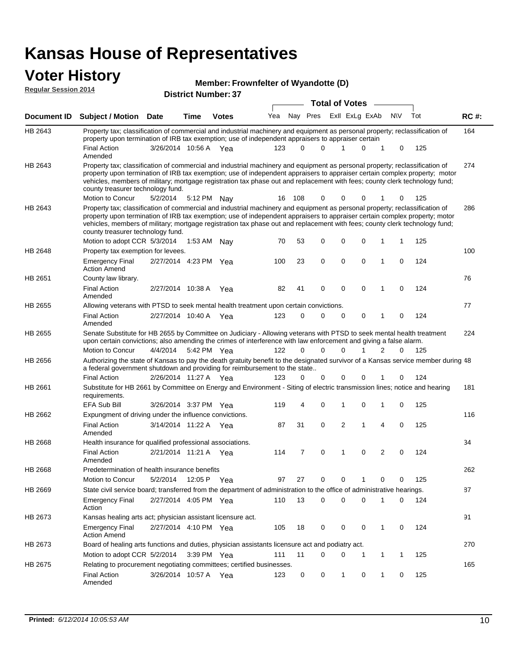### **Voter History Manufact 10**

|                             |                                                                                                                                                                                                                                                                                                                                                                                                                               |                       |             |                            | Member: Frownfelter of Wyandotte (D) |          |             |                       |             |              |           |     |             |
|-----------------------------|-------------------------------------------------------------------------------------------------------------------------------------------------------------------------------------------------------------------------------------------------------------------------------------------------------------------------------------------------------------------------------------------------------------------------------|-----------------------|-------------|----------------------------|--------------------------------------|----------|-------------|-----------------------|-------------|--------------|-----------|-----|-------------|
| <b>Reqular Session 2014</b> |                                                                                                                                                                                                                                                                                                                                                                                                                               |                       |             | <b>District Number: 37</b> |                                      |          |             |                       |             |              |           |     |             |
|                             |                                                                                                                                                                                                                                                                                                                                                                                                                               |                       |             |                            |                                      |          |             | <b>Total of Votes</b> |             |              |           |     |             |
| <b>Document ID</b>          | <b>Subject / Motion</b>                                                                                                                                                                                                                                                                                                                                                                                                       | Date                  | Time        | <b>Votes</b>               | Yea                                  |          | Nay Pres    | Exll ExLg ExAb        |             |              | <b>NV</b> | Tot | <b>RC#:</b> |
| HB 2643                     | Property tax; classification of commercial and industrial machinery and equipment as personal property; reclassification of<br>property upon termination of IRB tax exemption; use of independent appraisers to appraiser certain                                                                                                                                                                                             |                       |             |                            |                                      |          |             |                       |             |              |           |     | 164         |
|                             | <b>Final Action</b><br>Amended                                                                                                                                                                                                                                                                                                                                                                                                | 3/26/2014 10:56 A Yea |             |                            | 123                                  | $\Omega$ | 0           |                       | $\mathbf 0$ | 1            | 0         | 125 |             |
| HB 2643                     | Property tax; classification of commercial and industrial machinery and equipment as personal property; reclassification of<br>property upon termination of IRB tax exemption; use of independent appraisers to appraiser certain complex property; motor<br>vehicles, members of military; mortgage registration tax phase out and replacement with fees; county clerk technology fund;<br>county treasurer technology fund. |                       |             |                            |                                      |          |             |                       |             |              |           |     | 274         |
|                             | Motion to Concur                                                                                                                                                                                                                                                                                                                                                                                                              | 5/2/2014              | 5:12 PM Nay |                            | 16                                   | 108      | 0           | $^{(1)}$              | 0           |              | 0         | 125 |             |
| HB 2643                     | Property tax; classification of commercial and industrial machinery and equipment as personal property; reclassification of<br>property upon termination of IRB tax exemption; use of independent appraisers to appraiser certain complex property; motor<br>vehicles, members of military; mortgage registration tax phase out and replacement with fees; county clerk technology fund;<br>county treasurer technology fund. |                       |             |                            |                                      |          |             |                       |             |              |           |     | 286         |
|                             | Motion to adopt CCR 5/3/2014                                                                                                                                                                                                                                                                                                                                                                                                  |                       | 1:53 AM Nay |                            | 70                                   | 53       | 0           | 0                     | 0           | 1            | 1         | 125 |             |
| HB 2648                     | Property tax exemption for levees.                                                                                                                                                                                                                                                                                                                                                                                            |                       |             |                            |                                      |          |             |                       | 0           | 1            | 0         |     | 100         |
|                             | <b>Emergency Final</b><br><b>Action Amend</b>                                                                                                                                                                                                                                                                                                                                                                                 | 2/27/2014 4:23 PM Yea |             |                            | 100                                  | 23       | 0           | 0                     |             |              |           | 124 |             |
| HB 2651                     | County law library.                                                                                                                                                                                                                                                                                                                                                                                                           |                       |             |                            |                                      |          |             |                       |             |              |           |     | 76          |
|                             | <b>Final Action</b><br>Amended                                                                                                                                                                                                                                                                                                                                                                                                | 2/27/2014 10:38 A     |             | Yea                        | 82                                   | 41       | 0           | 0                     | $\mathbf 0$ | 1            | 0         | 124 |             |
| HB 2655                     | Allowing veterans with PTSD to seek mental health treatment upon certain convictions.                                                                                                                                                                                                                                                                                                                                         |                       |             |                            |                                      |          |             |                       |             |              |           |     | 77          |
|                             | <b>Final Action</b><br>Amended                                                                                                                                                                                                                                                                                                                                                                                                | 2/27/2014 10:40 A     |             | Yea                        | 123                                  | 0        | $\mathbf 0$ | $\mathbf 0$           | 0           | 1            | 0         | 124 |             |
| HB 2655                     | Senate Substitute for HB 2655 by Committee on Judiciary - Allowing veterans with PTSD to seek mental health treatment<br>upon certain convictions; also amending the crimes of interference with law enforcement and giving a false alarm.                                                                                                                                                                                    |                       |             |                            |                                      |          |             |                       |             |              |           |     | 224         |
|                             | Motion to Concur                                                                                                                                                                                                                                                                                                                                                                                                              | 4/4/2014              | 5:42 PM Yea |                            | 122                                  | 0        | 0           | U                     |             | 2            | 0         | 125 |             |
| HB 2656                     | Authorizing the state of Kansas to pay the death gratuity benefit to the designated survivor of a Kansas service member during 48<br>a federal government shutdown and providing for reimbursement to the state                                                                                                                                                                                                               |                       |             |                            |                                      |          |             |                       |             |              |           |     |             |
|                             | <b>Final Action</b>                                                                                                                                                                                                                                                                                                                                                                                                           | 2/26/2014 11:27 A Yea |             |                            | 123                                  | 0        | $\mathbf 0$ | 0                     | $\mathbf 0$ |              | 0         | 124 |             |
| HB 2661                     | Substitute for HB 2661 by Committee on Energy and Environment - Siting of electric transmission lines; notice and hearing<br>requirements.                                                                                                                                                                                                                                                                                    |                       |             |                            |                                      |          |             |                       |             |              |           |     | 181         |
|                             | <b>EFA Sub Bill</b>                                                                                                                                                                                                                                                                                                                                                                                                           | 3/26/2014 3:37 PM Yea |             |                            | 119                                  | 4        | 0           |                       | 0           | 1            | 0         | 125 |             |
| HB 2662                     | Expungment of driving under the influence convictions.                                                                                                                                                                                                                                                                                                                                                                        |                       |             |                            |                                      |          |             |                       |             |              |           |     | 116         |
|                             | <b>Final Action</b><br>Amended                                                                                                                                                                                                                                                                                                                                                                                                | 3/14/2014 11:22 A     |             | Yea                        | 87                                   | 31       | 0           | 2                     | 1           | 4            | 0         | 125 |             |
| HB 2668                     | Health insurance for qualified professional associations.                                                                                                                                                                                                                                                                                                                                                                     |                       |             |                            |                                      |          |             |                       |             |              |           |     | 34          |
|                             | <b>Final Action</b><br>Amended                                                                                                                                                                                                                                                                                                                                                                                                | 2/21/2014 11:21 A Yea |             |                            | 114                                  | 7        | $\mathbf 0$ | 1                     | 0           | 2            | 0         | 124 |             |
| HB 2668                     | Predetermination of health insurance benefits                                                                                                                                                                                                                                                                                                                                                                                 |                       |             |                            |                                      |          |             |                       |             |              |           |     | 262         |
|                             | Motion to Concur                                                                                                                                                                                                                                                                                                                                                                                                              | 5/2/2014              | 12:05 P Yea |                            | 97                                   | 27       | 0           | 0                     | 1           | 0            | 0         | 125 |             |
| HB 2669                     | State civil service board; transferred from the department of administration to the office of administrative hearings.                                                                                                                                                                                                                                                                                                        |                       |             |                            |                                      |          |             |                       |             |              |           |     | 87          |
|                             | <b>Emergency Final</b><br>Action                                                                                                                                                                                                                                                                                                                                                                                              | 2/27/2014 4:05 PM Yea |             |                            | 110                                  | 13       | 0           | 0                     | 0           | 1            | 0         | 124 |             |
| HB 2673                     | Kansas healing arts act; physician assistant licensure act.                                                                                                                                                                                                                                                                                                                                                                   |                       |             |                            |                                      |          |             |                       |             |              |           |     | 91          |
|                             | <b>Emergency Final</b><br><b>Action Amend</b>                                                                                                                                                                                                                                                                                                                                                                                 | 2/27/2014 4:10 PM Yea |             |                            | 105                                  | 18       | 0           | 0                     | 0           | $\mathbf{1}$ | 0         | 124 |             |
| HB 2673                     | Board of healing arts functions and duties, physician assistants licensure act and podiatry act.                                                                                                                                                                                                                                                                                                                              |                       |             |                            |                                      |          |             |                       |             |              |           |     | 270         |
|                             | Motion to adopt CCR 5/2/2014                                                                                                                                                                                                                                                                                                                                                                                                  |                       | 3:39 PM Yea |                            | 111                                  | 11       | 0           | 0                     | 1           | 1            | 1         | 125 |             |
| HB 2675                     | Relating to procurement negotiating committees; certified businesses.                                                                                                                                                                                                                                                                                                                                                         |                       |             |                            |                                      |          |             |                       |             |              |           |     | 165         |
|                             | <b>Final Action</b><br>Amended                                                                                                                                                                                                                                                                                                                                                                                                | 3/26/2014 10:57 A     |             | Yea                        | 123                                  | 0        | 0           | 1                     | 0           | 1            | 0         | 125 |             |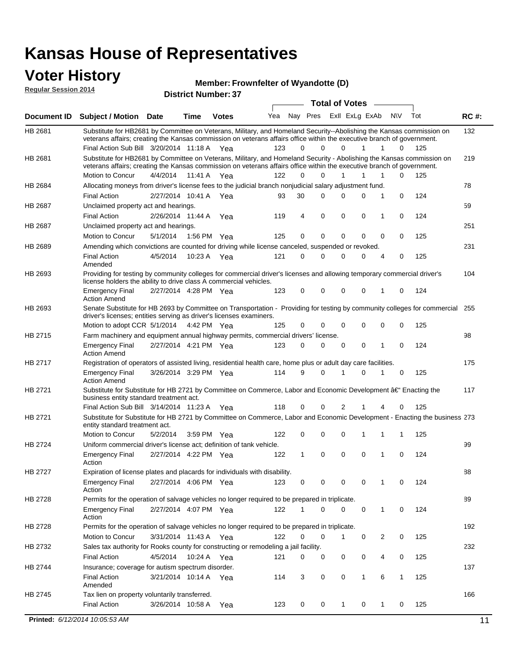#### **Voter History Regular Session 2014**

**Member: Frownfelter of Wyandotte (D)** 

| noguidi ocoololi 4014 |                                                                                                                                                                                                                                                                                               |                       |                       | <b>District Number: 37</b> |     |    |                         |                       |              |                   |     |             |
|-----------------------|-----------------------------------------------------------------------------------------------------------------------------------------------------------------------------------------------------------------------------------------------------------------------------------------------|-----------------------|-----------------------|----------------------------|-----|----|-------------------------|-----------------------|--------------|-------------------|-----|-------------|
|                       |                                                                                                                                                                                                                                                                                               |                       |                       |                            |     |    |                         | <b>Total of Votes</b> |              |                   |     |             |
| <b>Document ID</b>    | <b>Subject / Motion Date</b>                                                                                                                                                                                                                                                                  |                       | <b>Time</b>           | <b>Votes</b>               | Yea |    | Nay Pres ExII ExLg ExAb |                       |              | N\V               | Tot | <b>RC#:</b> |
| HB 2681               | Substitute for HB2681 by Committee on Veterans, Military, and Homeland Security--Abolishing the Kansas commission on<br>veterans affairs; creating the Kansas commission on veterans affairs office within the executive branch of government.<br>Final Action Sub Bill 3/20/2014 11:18 A Yea |                       |                       |                            | 123 | 0  | $\Omega$                | 0                     | 1            | 1<br>0            | 125 | 132         |
| HB 2681               | Substitute for HB2681 by Committee on Veterans, Military, and Homeland Security - Abolishing the Kansas commission on                                                                                                                                                                         |                       |                       |                            |     |    |                         |                       |              |                   |     | 219         |
|                       | veterans affairs; creating the Kansas commission on veterans affairs office within the executive branch of government.                                                                                                                                                                        |                       |                       |                            |     |    |                         |                       |              |                   |     |             |
|                       | Motion to Concur                                                                                                                                                                                                                                                                              | 4/4/2014              | 11:41 A               | Yea                        | 122 | 0  | $\Omega$                | 1                     | 1            | 0<br>1            | 125 |             |
| HB 2684               | Allocating moneys from driver's license fees to the judicial branch nonjudicial salary adjustment fund.                                                                                                                                                                                       |                       |                       |                            |     |    |                         |                       |              |                   |     | 78          |
|                       | <b>Final Action</b>                                                                                                                                                                                                                                                                           | 2/27/2014 10:41 A Yea |                       |                            | 93  | 30 | $\Omega$                | 0                     | 0            | 1<br>0            | 124 |             |
| HB 2687               | Unclaimed property act and hearings.                                                                                                                                                                                                                                                          |                       |                       |                            |     |    |                         |                       |              |                   |     | 59          |
|                       | <b>Final Action</b>                                                                                                                                                                                                                                                                           |                       | 2/26/2014 11:44 A     | Yea                        | 119 | 4  | $\mathbf 0$             | 0                     | 0            | 0<br>1            | 124 |             |
| <b>HB 2687</b>        | Unclaimed property act and hearings.                                                                                                                                                                                                                                                          |                       |                       |                            |     |    |                         |                       |              |                   |     | 251         |
|                       | Motion to Concur                                                                                                                                                                                                                                                                              | 5/1/2014              |                       | 1:56 PM Yea                | 125 | 0  | $\mathbf 0$             | 0                     | 0            | 0<br>0            | 125 |             |
| <b>HB 2689</b>        | Amending which convictions are counted for driving while license canceled, suspended or revoked.                                                                                                                                                                                              |                       |                       |                            |     |    |                         |                       |              |                   |     | 231         |
|                       | <b>Final Action</b><br>Amended                                                                                                                                                                                                                                                                | 4/5/2014              | 10:23 A               | Yea                        | 121 | 0  | 0                       | 0                     | 0            | 4<br>0            | 125 |             |
| HB 2693               | Providing for testing by community colleges for commercial driver's licenses and allowing temporary commercial driver's<br>license holders the ability to drive class A commercial vehicles.                                                                                                  |                       |                       |                            |     |    |                         |                       |              |                   |     | 104         |
|                       | <b>Emergency Final</b><br><b>Action Amend</b>                                                                                                                                                                                                                                                 | 2/27/2014 4:28 PM Yea |                       |                            | 123 | 0  | 0                       | 0                     | 0            | 0<br>1            | 124 |             |
| HB 2693               | Senate Substitute for HB 2693 by Committee on Transportation - Providing for testing by community colleges for commercial<br>driver's licenses; entities serving as driver's licenses examiners.                                                                                              |                       |                       |                            |     |    |                         |                       |              |                   |     | 255         |
|                       | Motion to adopt CCR 5/1/2014                                                                                                                                                                                                                                                                  |                       |                       | 4:42 PM Yea                | 125 | 0  | $\Omega$                | 0                     | 0            | 0<br>0            | 125 |             |
| HB 2715               | Farm machinery and equipment annual highway permits, commercial drivers' license.                                                                                                                                                                                                             |                       |                       |                            |     |    |                         |                       |              |                   |     | 98          |
|                       | <b>Emergency Final</b><br><b>Action Amend</b>                                                                                                                                                                                                                                                 |                       | 2/27/2014 4:21 PM Yea |                            | 123 | 0  | $\Omega$                | 0                     | 0            | 0<br>1            | 124 |             |
| HB 2717               | Registration of operators of assisted living, residential health care, home plus or adult day care facilities.                                                                                                                                                                                |                       |                       |                            |     |    |                         |                       |              |                   |     | 175         |
|                       | <b>Emergency Final</b><br><b>Action Amend</b>                                                                                                                                                                                                                                                 |                       | 3/26/2014 3:29 PM Yea |                            | 114 | 9  | $\Omega$                |                       | 0            | 1<br>0            | 125 |             |
| HB 2721               | Substitute for Substitute for HB 2721 by Committee on Commerce, Labor and Economic Development †Enacting the<br>business entity standard treatment act.                                                                                                                                       |                       |                       |                            |     |    |                         |                       |              |                   |     | 117         |
|                       | Final Action Sub Bill 3/14/2014 11:23 A Yea                                                                                                                                                                                                                                                   |                       |                       |                            | 118 | 0  | 0                       | 2                     | 1            | 0<br>4            | 125 |             |
| HB 2721               | Substitute for Substitute for HB 2721 by Committee on Commerce, Labor and Economic Development - Enacting the business 273<br>entity standard treatment act.                                                                                                                                  |                       |                       |                            |     |    |                         |                       |              |                   |     |             |
|                       | Motion to Concur                                                                                                                                                                                                                                                                              | 5/2/2014              |                       | 3:59 PM Yea                | 122 | 0  | 0                       | 0                     | 1            | 1<br>1            | 125 |             |
| <b>HB 2724</b>        | Uniform commercial driver's license act; definition of tank vehicle.                                                                                                                                                                                                                          |                       |                       |                            |     |    |                         |                       |              |                   |     | 99          |
|                       | <b>Emergency Final</b><br>Action                                                                                                                                                                                                                                                              | 2/27/2014 4:22 PM Yea |                       |                            | 122 | 1  | 0                       | 0                     | 0            | 1<br>0            | 124 |             |
| HB 2727               | Expiration of license plates and placards for individuals with disability.                                                                                                                                                                                                                    |                       |                       |                            |     |    |                         |                       |              |                   |     | 88          |
|                       | <b>Emergency Final</b><br>Action                                                                                                                                                                                                                                                              |                       | 2/27/2014 4:06 PM Yea |                            | 123 | 0  | 0                       | 0                     | 0            | 1<br>0            | 124 |             |
| HB 2728               | Permits for the operation of salvage vehicles no longer required to be prepared in triplicate.                                                                                                                                                                                                |                       |                       |                            |     |    |                         |                       |              |                   |     | 89          |
|                       | <b>Emergency Final</b><br>Action                                                                                                                                                                                                                                                              | 2/27/2014 4:07 PM Yea |                       |                            | 122 | 1  | 0                       | $\Omega$              | 0            | 0<br>1            | 124 |             |
| HB 2728               | Permits for the operation of salvage vehicles no longer required to be prepared in triplicate.                                                                                                                                                                                                |                       |                       |                            |     |    |                         |                       |              |                   |     | 192         |
|                       | Motion to Concur                                                                                                                                                                                                                                                                              |                       | 3/31/2014 11:43 A Yea |                            | 122 | 0  | 0                       | 1                     | 0            | 2<br>0            | 125 |             |
| HB 2732               | Sales tax authority for Rooks county for constructing or remodeling a jail facility.                                                                                                                                                                                                          |                       |                       |                            |     |    |                         |                       |              |                   |     | 232         |
|                       | <b>Final Action</b>                                                                                                                                                                                                                                                                           | 4/5/2014              |                       | 10:24 A Yea                | 121 | 0  | 0                       | 0                     | 0            | 0<br>4            | 125 |             |
| HB 2744               | Insurance; coverage for autism spectrum disorder.                                                                                                                                                                                                                                             |                       |                       |                            |     |    |                         |                       |              |                   |     | 137         |
|                       | <b>Final Action</b><br>Amended                                                                                                                                                                                                                                                                |                       |                       | 3/21/2014 10:14 A Yea      | 114 | 3  | 0                       | 0                     | $\mathbf{1}$ | 6<br>$\mathbf{1}$ | 125 |             |
| HB 2745               | Tax lien on property voluntarily transferred.                                                                                                                                                                                                                                                 |                       |                       |                            |     |    |                         |                       |              |                   |     | 166         |
|                       | <b>Final Action</b>                                                                                                                                                                                                                                                                           |                       | 3/26/2014 10:58 A     | Yea                        | 123 | 0  | 0                       | $\mathbf{1}$          | 0            | 1<br>0            | 125 |             |
|                       |                                                                                                                                                                                                                                                                                               |                       |                       |                            |     |    |                         |                       |              |                   |     |             |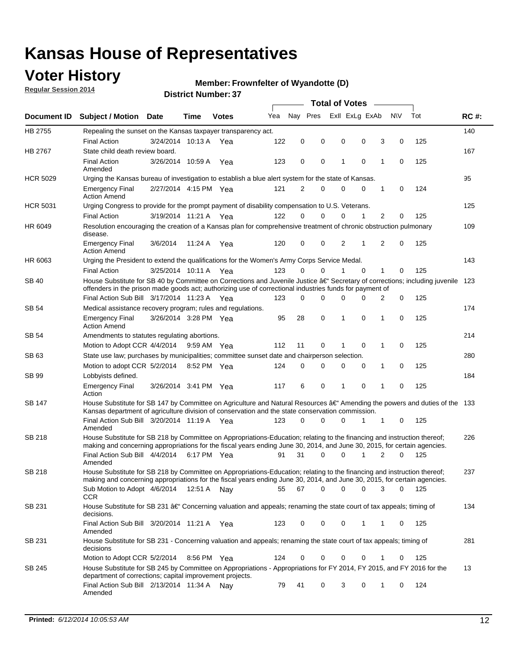## **Voter History**

**Regular Session 2014**

#### **Member: Frownfelter of Wyandotte (D)**

|                    |                                                                                                                                                                                                                                      |                       | <b>Total of Votes</b> |              |     |             |          |   |                |              |             |     |             |
|--------------------|--------------------------------------------------------------------------------------------------------------------------------------------------------------------------------------------------------------------------------------|-----------------------|-----------------------|--------------|-----|-------------|----------|---|----------------|--------------|-------------|-----|-------------|
| <b>Document ID</b> | <b>Subject / Motion</b>                                                                                                                                                                                                              | <b>Date</b>           | Time                  | <b>Votes</b> | Yea | Nay Pres    |          |   | Exll ExLg ExAb |              | <b>NV</b>   | Tot | <b>RC#:</b> |
| HB 2755            | Repealing the sunset on the Kansas taxpayer transparency act.                                                                                                                                                                        |                       |                       |              |     |             |          |   |                |              |             |     | 140         |
|                    | <b>Final Action</b>                                                                                                                                                                                                                  | 3/24/2014 10:13 A     |                       | Yea          | 122 | 0           | 0        | 0 | 0              | 3            | 0           | 125 |             |
| HB 2767            | State child death review board.                                                                                                                                                                                                      |                       |                       |              |     |             |          |   |                |              |             |     | 167         |
|                    | <b>Final Action</b><br>Amended                                                                                                                                                                                                       | 3/26/2014 10:59 A     |                       | Yea          | 123 | 0           | 0        | 1 | 0              | 1            | 0           | 125 |             |
| <b>HCR 5029</b>    | Urging the Kansas bureau of investigation to establish a blue alert system for the state of Kansas.                                                                                                                                  |                       |                       |              |     |             |          |   |                |              |             |     | 95          |
|                    | <b>Emergency Final</b><br><b>Action Amend</b>                                                                                                                                                                                        | 2/27/2014 4:15 PM Yea |                       |              | 121 | 2           | 0        | 0 | 0              | 1            | 0           | 124 |             |
| <b>HCR 5031</b>    | Urging Congress to provide for the prompt payment of disability compensation to U.S. Veterans.                                                                                                                                       |                       |                       |              |     |             |          |   |                |              |             |     | 125         |
|                    | <b>Final Action</b>                                                                                                                                                                                                                  | 3/19/2014 11:21 A Yea |                       |              | 122 | $\Omega$    | 0        | 0 | 1              | 2            | 0           | 125 |             |
| HR 6049            | Resolution encouraging the creation of a Kansas plan for comprehensive treatment of chronic obstruction pulmonary<br>disease.                                                                                                        |                       |                       |              |     |             |          |   |                |              |             |     | 109         |
|                    | <b>Emergency Final</b><br><b>Action Amend</b>                                                                                                                                                                                        | 3/6/2014              | 11:24 A               | Yea          | 120 | 0           | 0        | 2 | 1              | 2            | $\mathbf 0$ | 125 |             |
| HR 6063            | Urging the President to extend the qualifications for the Women's Army Corps Service Medal.                                                                                                                                          |                       |                       |              |     |             |          |   |                |              |             |     | 143         |
|                    | <b>Final Action</b>                                                                                                                                                                                                                  | 3/25/2014 10:11 A Yea |                       |              | 123 | $\Omega$    | $\Omega$ | 1 | $\Omega$       | $\mathbf{1}$ | 0           | 125 |             |
| SB 40              | House Substitute for SB 40 by Committee on Corrections and Juvenile Justice †Secretary of corrections; including juvenile<br>offenders in the prison made goods act; authorizing use of correctional industries funds for payment of |                       |                       |              |     |             |          |   |                |              |             |     | 123         |
|                    | Final Action Sub Bill 3/17/2014 11:23 A Yea                                                                                                                                                                                          |                       |                       |              | 123 | 0           | 0        | 0 | 0              | 2            | 0           | 125 |             |
| SB 54              | Medical assistance recovery program; rules and regulations.                                                                                                                                                                          |                       |                       |              |     |             |          |   |                |              |             |     | 174         |
|                    | <b>Emergency Final</b><br><b>Action Amend</b>                                                                                                                                                                                        | 3/26/2014 3:28 PM Yea |                       |              | 95  | 28          | 0        | 1 | 0              | 1            | 0           | 125 |             |
| SB 54              | Amendments to statutes regulating abortions.                                                                                                                                                                                         |                       |                       |              |     |             |          |   |                |              |             |     | 214         |
|                    | Motion to Adopt CCR 4/4/2014                                                                                                                                                                                                         |                       | 9:59 AM Yea           |              | 112 | 11          | 0        |   | 0              | 1            | 0           | 125 |             |
| SB 63              | State use law; purchases by municipalities; committee sunset date and chairperson selection.                                                                                                                                         |                       |                       |              |     |             |          |   |                |              |             |     | 280         |
|                    | Motion to adopt CCR 5/2/2014                                                                                                                                                                                                         |                       | 8:52 PM Yea           |              | 124 | $\mathbf 0$ | 0        | 0 | 0              | 1            | 0           | 125 |             |
| SB 99              | Lobbyists defined.                                                                                                                                                                                                                   |                       |                       |              |     |             |          |   |                |              |             |     | 184         |
|                    | <b>Emergency Final</b><br>Action                                                                                                                                                                                                     | 3/26/2014 3:41 PM Yea |                       |              | 117 | 6           | 0        | 1 | 0              | 1            | 0           | 125 |             |
| SB 147             | House Substitute for SB 147 by Committee on Agriculture and Natural Resources †Amending the powers and duties of the 133<br>Kansas department of agriculture division of conservation and the state conservation commission.         |                       |                       |              |     |             |          |   |                |              |             |     |             |
|                    | Final Action Sub Bill 3/20/2014 11:19 A Yea<br>Amended                                                                                                                                                                               |                       |                       |              | 123 | $\Omega$    | 0        | 0 | 1              | 1            | 0           | 125 |             |
| <b>SB 218</b>      | House Substitute for SB 218 by Committee on Appropriations-Education; relating to the financing and instruction thereof;                                                                                                             |                       |                       |              |     |             |          |   |                |              |             |     | 226         |
|                    | making and concerning appropriations for the fiscal years ending June 30, 2014, and June 30, 2015, for certain agencies.<br>Final Action Sub Bill 4/4/2014 6:17 PM Yea<br>Amended                                                    |                       |                       |              | 91  | 31          | 0        | 0 | 1              | 2            | $\Omega$    | 125 |             |
| <b>SB 218</b>      | House Substitute for SB 218 by Committee on Appropriations-Education; relating to the financing and instruction thereof;                                                                                                             |                       |                       |              |     |             |          |   |                |              |             |     | 237         |
|                    | making and concerning appropriations for the fiscal years ending June 30, 2014, and June 30, 2015, for certain agencies.                                                                                                             |                       |                       |              |     |             |          |   |                |              |             |     |             |
|                    | Sub Motion to Adopt 4/6/2014 12:51 A Nay<br><b>CCR</b>                                                                                                                                                                               |                       |                       |              | 55  | 67          | 0        | 0 | 0              | 3            | 0           | 125 |             |
| SB 231             | House Substitute for SB 231 †Concerning valuation and appeals; renaming the state court of tax appeals; timing of<br>decisions.                                                                                                      |                       |                       |              |     |             |          |   |                |              |             |     | 134         |
|                    | Final Action Sub Bill 3/20/2014 11:21 A Yea<br>Amended                                                                                                                                                                               |                       |                       |              | 123 | 0           | 0        | 0 | 1              | 1            | 0           | 125 |             |
| SB 231             | House Substitute for SB 231 - Concerning valuation and appeals; renaming the state court of tax appeals; timing of<br>decisions                                                                                                      |                       |                       |              |     |             |          |   |                |              |             |     | 281         |
|                    | Motion to Adopt CCR 5/2/2014                                                                                                                                                                                                         |                       | 8:56 PM Yea           |              | 124 | 0           | 0        | 0 | 0              | 1            | 0           | 125 |             |
| SB 245             | House Substitute for SB 245 by Committee on Appropriations - Appropriations for FY 2014, FY 2015, and FY 2016 for the<br>department of corrections; capital improvement projects.                                                    |                       |                       |              |     |             |          |   |                |              |             |     | 13          |
|                    | Final Action Sub Bill 2/13/2014 11:34 A Nay<br>Amended                                                                                                                                                                               |                       |                       |              | 79  | 41          | 0        | 3 | 0              | 1            | 0           | 124 |             |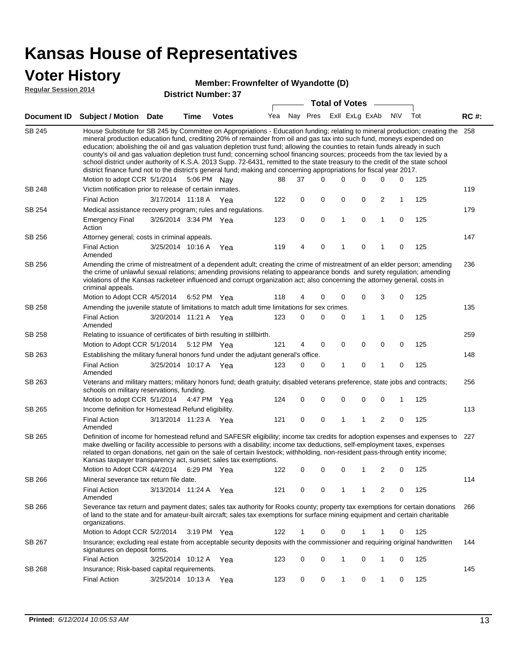### **Voter History**

#### **Member: Frownfelter of Wyandotte (D)**

**Regular Session 2014**

|        |                                                                                                                                                                                                                                                                                                                                                                                                                                                                                                                                                                                                                                                                                                                                                                               |                       |      |              |     |    |          | <b>Total of Votes</b> |             |                         |             |     |             |
|--------|-------------------------------------------------------------------------------------------------------------------------------------------------------------------------------------------------------------------------------------------------------------------------------------------------------------------------------------------------------------------------------------------------------------------------------------------------------------------------------------------------------------------------------------------------------------------------------------------------------------------------------------------------------------------------------------------------------------------------------------------------------------------------------|-----------------------|------|--------------|-----|----|----------|-----------------------|-------------|-------------------------|-------------|-----|-------------|
|        | Document ID Subject / Motion Date                                                                                                                                                                                                                                                                                                                                                                                                                                                                                                                                                                                                                                                                                                                                             |                       | Time | <b>Votes</b> | Yea |    | Nay Pres | Exll ExLg ExAb        |             |                         | <b>NV</b>   | Tot | <b>RC#:</b> |
| SB 245 | House Substitute for SB 245 by Committee on Appropriations - Education funding; relating to mineral production; creating the<br>mineral production education fund, crediting 20% of remainder from oil and gas tax into such fund, moneys expended on<br>education; abolishing the oil and gas valuation depletion trust fund; allowing the counties to retain funds already in such<br>county's oil and gas valuation depletion trust fund; concerning school financing sources; proceeds from the tax levied by a<br>school district under authority of K.S.A. 2013 Supp. 72-6431, remitted to the state treasury to the credit of the state school<br>district finance fund not to the district's general fund; making and concerning appropriations for fiscal year 2017. |                       |      |              |     |    |          |                       |             |                         |             |     | 258         |
|        | Motion to adopt CCR 5/1/2014                                                                                                                                                                                                                                                                                                                                                                                                                                                                                                                                                                                                                                                                                                                                                  |                       |      | 5:06 PM Nay  | 88  | 37 | 0        | 0                     | 0           | 0                       | 0           | 125 |             |
| SB 248 | Victim notification prior to release of certain inmates.                                                                                                                                                                                                                                                                                                                                                                                                                                                                                                                                                                                                                                                                                                                      |                       |      |              |     |    |          |                       |             |                         |             |     | 119         |
|        | <b>Final Action</b>                                                                                                                                                                                                                                                                                                                                                                                                                                                                                                                                                                                                                                                                                                                                                           | 3/17/2014 11:18 A Yea |      |              | 122 | 0  | 0        | 0                     | 0           | $\overline{\mathbf{c}}$ | 1           | 125 |             |
| SB 254 | Medical assistance recovery program; rules and regulations.                                                                                                                                                                                                                                                                                                                                                                                                                                                                                                                                                                                                                                                                                                                   |                       |      |              |     |    |          |                       |             |                         |             |     | 179         |
|        | <b>Emergency Final</b><br>Action                                                                                                                                                                                                                                                                                                                                                                                                                                                                                                                                                                                                                                                                                                                                              | 3/26/2014 3:34 PM Yea |      |              | 123 | 0  | 0        | $\mathbf{1}$          | 0           | 1                       | 0           | 125 |             |
| SB 256 | Attorney general; costs in criminal appeals.                                                                                                                                                                                                                                                                                                                                                                                                                                                                                                                                                                                                                                                                                                                                  |                       |      |              |     |    |          |                       |             |                         |             |     | 147         |
|        | <b>Final Action</b><br>Amended                                                                                                                                                                                                                                                                                                                                                                                                                                                                                                                                                                                                                                                                                                                                                | 3/25/2014 10:16 A     |      | Yea          | 119 | 4  | 0        | 1                     | 0           | 1                       | 0           | 125 |             |
| SB 256 | Amending the crime of mistreatment of a dependent adult; creating the crime of mistreatment of an elder person; amending<br>the crime of unlawful sexual relations; amending provisions relating to appearance bonds and surety regulation; amending<br>violations of the Kansas racketeer influenced and corrupt organization act; also concerning the attorney general, costs in<br>criminal appeals.                                                                                                                                                                                                                                                                                                                                                                       |                       |      |              |     |    |          |                       |             |                         |             |     | 236         |
|        | Motion to Adopt CCR 4/5/2014                                                                                                                                                                                                                                                                                                                                                                                                                                                                                                                                                                                                                                                                                                                                                  |                       |      | 6:52 PM Yea  | 118 | 4  | 0        | 0                     | 0           | 3                       | 0           | 125 |             |
| SB 258 | Amending the juvenile statute of limitations to match adult time limitations for sex crimes.                                                                                                                                                                                                                                                                                                                                                                                                                                                                                                                                                                                                                                                                                  |                       |      |              |     |    |          |                       |             |                         |             |     | 135         |
|        | <b>Final Action</b><br>Amended                                                                                                                                                                                                                                                                                                                                                                                                                                                                                                                                                                                                                                                                                                                                                | 3/20/2014 11:21 A Yea |      |              | 123 | 0  | 0        | 0                     | 1           | $\mathbf{1}$            | 0           | 125 |             |
| SB 258 | Relating to issuance of certificates of birth resulting in stillbirth.                                                                                                                                                                                                                                                                                                                                                                                                                                                                                                                                                                                                                                                                                                        |                       |      |              |     |    |          |                       |             |                         |             |     | 259         |
|        | Motion to Adopt CCR 5/1/2014                                                                                                                                                                                                                                                                                                                                                                                                                                                                                                                                                                                                                                                                                                                                                  |                       |      | 5:12 PM Yea  | 121 | 4  | 0        | 0                     | $\mathbf 0$ | 0                       | 0           | 125 |             |
| SB 263 | Establishing the military funeral honors fund under the adjutant general's office.                                                                                                                                                                                                                                                                                                                                                                                                                                                                                                                                                                                                                                                                                            |                       |      |              |     |    |          |                       |             |                         |             |     | 148         |
|        | <b>Final Action</b><br>Amended                                                                                                                                                                                                                                                                                                                                                                                                                                                                                                                                                                                                                                                                                                                                                | 3/25/2014 10:17 A Yea |      |              | 123 | 0  | 0        | 1                     | 0           | 1                       | 0           | 125 |             |
| SB 263 | Veterans and military matters; military honors fund; death gratuity; disabled veterans preference, state jobs and contracts;<br>schools on military reservations, funding.                                                                                                                                                                                                                                                                                                                                                                                                                                                                                                                                                                                                    |                       |      |              |     |    |          |                       |             |                         |             |     | 256         |
|        | Motion to adopt CCR 5/1/2014                                                                                                                                                                                                                                                                                                                                                                                                                                                                                                                                                                                                                                                                                                                                                  |                       |      | 4:47 PM Yea  | 124 | 0  | 0        | 0                     | 0           | 0                       | 1           | 125 |             |
| SB 265 | Income definition for Homestead Refund eligibility.                                                                                                                                                                                                                                                                                                                                                                                                                                                                                                                                                                                                                                                                                                                           |                       |      |              |     |    |          |                       |             |                         |             |     | 113         |
|        | <b>Final Action</b><br>Amended                                                                                                                                                                                                                                                                                                                                                                                                                                                                                                                                                                                                                                                                                                                                                | 3/13/2014 11:23 A Yea |      |              | 121 | 0  | 0        | 1                     | 1           | $\overline{2}$          | $\mathbf 0$ | 125 |             |
| SB 265 | Definition of income for homestead refund and SAFESR eligibility; income tax credits for adoption expenses and expenses to<br>make dwelling or facility accessible to persons with a disability; income tax deductions, self-employment taxes, expenses<br>related to organ donations, net gain on the sale of certain livestock; withholding, non-resident pass-through entity income;<br>Kansas taxpayer transparency act, sunset; sales tax exemptions.                                                                                                                                                                                                                                                                                                                    |                       |      |              |     |    |          |                       |             |                         |             |     | 227         |
|        | Motion to Adopt CCR 4/4/2014 6:29 PM Yea                                                                                                                                                                                                                                                                                                                                                                                                                                                                                                                                                                                                                                                                                                                                      |                       |      |              | 122 | 0  | 0        | 0                     | 1           | 2                       | 0           | 125 |             |
| SB 266 | Mineral severance tax return file date.                                                                                                                                                                                                                                                                                                                                                                                                                                                                                                                                                                                                                                                                                                                                       |                       |      |              |     |    |          |                       |             |                         |             |     | 114         |
|        | <b>Final Action</b><br>Amended                                                                                                                                                                                                                                                                                                                                                                                                                                                                                                                                                                                                                                                                                                                                                | 3/13/2014 11:24 A Yea |      |              | 121 | 0  | 0        | 1                     | 1           | 2                       | 0           | 125 |             |
| SB 266 | Severance tax return and payment dates; sales tax authority for Rooks county; property tax exemptions for certain donations<br>of land to the state and for amateur-built aircraft; sales tax exemptions for surface mining equipment and certain charitable<br>organizations.                                                                                                                                                                                                                                                                                                                                                                                                                                                                                                |                       |      |              |     |    |          |                       |             |                         |             |     | 266         |
|        | Motion to Adopt CCR 5/2/2014                                                                                                                                                                                                                                                                                                                                                                                                                                                                                                                                                                                                                                                                                                                                                  |                       |      | 3:19 PM Yea  | 122 | 1  | 0        | 0                     | 1           | 1                       | 0           | 125 |             |
| SB 267 | Insurance; excluding real estate from acceptable security deposits with the commissioner and requiring original handwritten<br>signatures on deposit forms.                                                                                                                                                                                                                                                                                                                                                                                                                                                                                                                                                                                                                   |                       |      |              |     |    |          |                       |             |                         |             |     | 144         |
|        | <b>Final Action</b>                                                                                                                                                                                                                                                                                                                                                                                                                                                                                                                                                                                                                                                                                                                                                           | 3/25/2014 10:12 A Yea |      |              | 123 | 0  | 0        | 1                     | 0           | 1                       | 0           | 125 |             |
| SB 268 | Insurance; Risk-based capital requirements.                                                                                                                                                                                                                                                                                                                                                                                                                                                                                                                                                                                                                                                                                                                                   |                       |      |              |     |    |          |                       |             |                         |             |     | 145         |
|        | Final Action                                                                                                                                                                                                                                                                                                                                                                                                                                                                                                                                                                                                                                                                                                                                                                  | 3/25/2014 10:13 A     |      | Yea          | 123 | 0  | 0        | 1                     | 0           | 1                       | 0           | 125 |             |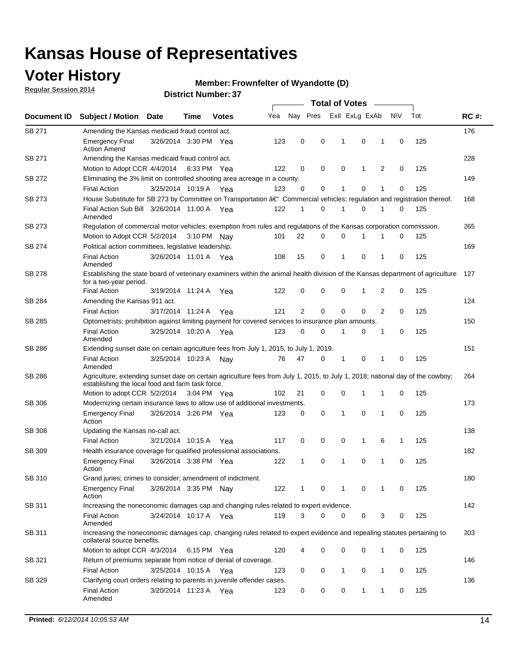### **Voter History**

**Regular Session 2014**

#### **Member: Frownfelter of Wyandotte (D)**

|               |                                                                                                                                                                                    |                       | <b>Total of Votes</b> |              |     |                |             |                |              |   |             |     |             |
|---------------|------------------------------------------------------------------------------------------------------------------------------------------------------------------------------------|-----------------------|-----------------------|--------------|-----|----------------|-------------|----------------|--------------|---|-------------|-----|-------------|
| Document ID   | <b>Subject / Motion Date</b>                                                                                                                                                       |                       | Time                  | <b>Votes</b> | Yea | Nay Pres       |             | Exll ExLg ExAb |              |   | N\V         | Tot | <b>RC#:</b> |
| SB 271        | Amending the Kansas medicaid fraud control act.                                                                                                                                    |                       |                       |              |     |                |             |                |              |   |             |     | 176         |
|               | <b>Emergency Final</b><br><b>Action Amend</b>                                                                                                                                      | 3/26/2014 3:30 PM Yea |                       |              | 123 | 0              | 0           | 1              | 0            | 1 | $\mathbf 0$ | 125 |             |
| SB 271        | Amending the Kansas medicaid fraud control act.                                                                                                                                    |                       |                       |              |     |                |             |                |              |   |             |     | 228         |
|               | Motion to Adopt CCR 4/4/2014 6:33 PM Yea                                                                                                                                           |                       |                       |              | 122 | 0              | 0           | 0              | 1            | 2 | 0           | 125 |             |
| SB 272        | Eliminating the 3% limit on controlled shooting area acreage in a county.                                                                                                          |                       |                       |              |     |                |             |                |              |   |             |     | 149         |
|               | <b>Final Action</b>                                                                                                                                                                | 3/25/2014 10:19 A Yea |                       |              | 123 | 0              | 0           | 1              | 0            | 1 | $\mathbf 0$ | 125 |             |
| SB 273        | House Substitute for SB 273 by Committee on Transportation †Commercial vehicles; regulation and registration thereof.                                                              |                       |                       |              |     |                |             |                |              |   |             |     | 168         |
|               | Final Action Sub Bill 3/26/2014 11:00 A Yea<br>Amended                                                                                                                             |                       |                       |              | 122 | 1              | 0           | 1              | 0            | 1 | 0           | 125 |             |
| SB 273        | Regulation of commercial motor vehicles; exemption from rules and regulations of the Kansas corporation commission.                                                                |                       |                       |              |     |                |             |                |              |   |             |     | 265         |
|               | Motion to Adopt CCR 5/2/2014 3:10 PM Nay                                                                                                                                           |                       |                       |              | 101 | 22             | 0           | 0              | 1            | 1 | 0           | 125 |             |
| SB 274        | Political action committees, legislative leadership.                                                                                                                               |                       |                       |              |     |                |             |                |              |   |             |     | 169         |
|               | <b>Final Action</b><br>Amended                                                                                                                                                     | 3/26/2014 11:01 A Yea |                       |              | 108 | 15             | 0           | -1             | 0            | 1 | 0           | 125 |             |
| <b>SB 278</b> | Establishing the state board of veterinary examiners within the animal health division of the Kansas department of agriculture<br>for a two-year period.                           |                       |                       |              |     |                |             |                |              |   |             |     | 127         |
|               | <b>Final Action</b>                                                                                                                                                                | 3/19/2014 11:24 A     |                       | Yea          | 122 | 0              | 0           | 0              | 1            | 2 | 0           | 125 |             |
| SB 284        | Amending the Kansas 911 act.                                                                                                                                                       |                       |                       |              |     |                |             |                |              |   |             |     | 124         |
|               | <b>Final Action</b>                                                                                                                                                                | 3/17/2014 11:24 A     |                       | Yea          | 121 | $\overline{2}$ | $\mathbf 0$ | $\mathbf 0$    | $\mathbf 0$  | 2 | 0           | 125 |             |
| SB 285        | Optometrists; prohibition against limiting payment for covered services to insurance plan amounts.                                                                                 |                       |                       |              |     |                |             |                |              |   |             |     | 150         |
|               | <b>Final Action</b><br>Amended                                                                                                                                                     | 3/25/2014 10:20 A     |                       | Yea          | 123 | 0              | 0           | $\mathbf{1}$   | 0            | 1 | 0           | 125 |             |
| SB 286        | Extending sunset date on certain agriculture fees from July 1, 2015, to July 1, 2019.                                                                                              |                       |                       |              |     |                |             |                |              |   |             |     | 151         |
|               | <b>Final Action</b><br>Amended                                                                                                                                                     | 3/25/2014 10:23 A     |                       | Nay          | 76  | 47             | 0           | -1             | 0            | 1 | 0           | 125 |             |
| SB 286        | Agriculture; extending sunset date on certain agriculture fees from July 1, 2015, to July 1, 2018; national day of the cowboy;<br>establishing the local food and farm task force. |                       |                       |              |     |                |             |                |              |   |             |     | 264         |
|               | Motion to adopt CCR 5/2/2014 3:04 PM Yea                                                                                                                                           |                       |                       |              | 102 | 21             | 0           | 0              | 1            | 1 | 0           | 125 |             |
| SB 306        | Modernizing certain insurance laws to allow use of additional investments.                                                                                                         |                       |                       |              |     |                |             |                |              |   |             |     | 173         |
|               | <b>Emergency Final</b><br>Action                                                                                                                                                   | 3/26/2014 3:26 PM Yea |                       |              | 123 | 0              | 0           | 1              | $\mathbf 0$  | 1 | 0           | 125 |             |
| <b>SB 308</b> | Updating the Kansas no-call act.                                                                                                                                                   |                       |                       |              |     |                |             |                |              |   |             |     | 138         |
|               | <b>Final Action</b>                                                                                                                                                                | 3/21/2014 10:15 A     |                       | Yea          | 117 | 0              | 0           | 0              | $\mathbf{1}$ | 6 | 1           | 125 |             |
| SB 309        | Health insurance coverage for qualified professional associations.                                                                                                                 |                       |                       |              |     |                |             |                |              |   |             |     | 182         |
|               | <b>Emergency Final</b><br>Action                                                                                                                                                   | 3/26/2014 3:38 PM Yea |                       |              | 122 | 1              | 0           | 1              | 0            | 1 | 0           | 125 |             |
| SB 310        | Grand juries; crimes to consider; amendment of indictment.                                                                                                                         |                       |                       |              |     |                |             |                |              |   |             |     | 180         |
|               | <b>Emergency Final</b><br>Action                                                                                                                                                   | 3/26/2014 3:35 PM Nay |                       |              | 122 | 1              | 0           | 1              | 0            | 1 | 0           | 125 |             |
| SB 311        | Increasing the noneconomic damages cap and changing rules related to expert evidence.                                                                                              |                       |                       |              |     |                |             |                |              |   |             |     | 142         |
|               | <b>Final Action</b><br>Amended                                                                                                                                                     | 3/24/2014 10:17 A Yea |                       |              | 119 | 3              | $\Omega$    | 0              | 0            | 3 | 0           | 125 |             |
| SB 311        | Increasing the noneconomic damages cap, changing rules related to expert evidence and repealing statutes pertaining to<br>collateral source benefits.                              |                       |                       |              |     |                |             |                |              |   |             |     | 203         |
|               | Motion to adopt CCR 4/3/2014 6:15 PM Yea                                                                                                                                           |                       |                       |              | 120 | 4              | 0           | 0              | 0            | 1 | 0           | 125 |             |
| SB 321        | Return of premiums separate from notice of denial of coverage.                                                                                                                     |                       |                       |              |     |                |             |                |              |   |             |     | 146         |
|               | <b>Final Action</b>                                                                                                                                                                | 3/25/2014 10:15 A Yea |                       |              | 123 | 0              | 0           | 1              | 0            | 1 | 0           | 125 |             |
| SB 329        | Clarifying court orders relating to parents in juvenile offender cases.<br><b>Final Action</b><br>Amended                                                                          | 3/20/2014 11:23 A Yea |                       |              | 123 | 0              | 0           | 0              | 1            | 1 | 0           | 125 | 136         |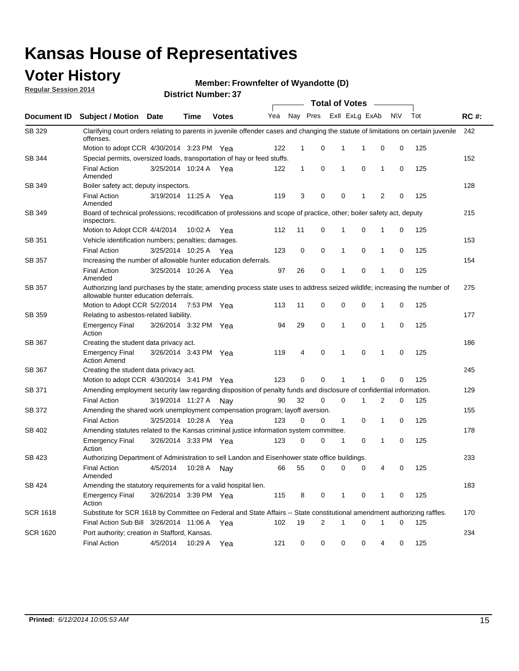### **Voter History**

**Regular Session 2014**

#### **Member: Frownfelter of Wyandotte (D)**

|                 |                                                                                                                                                                    | <b>Total of Votes</b> |             |              |     |              |   |              |                |                |             |     |             |
|-----------------|--------------------------------------------------------------------------------------------------------------------------------------------------------------------|-----------------------|-------------|--------------|-----|--------------|---|--------------|----------------|----------------|-------------|-----|-------------|
| Document ID     | <b>Subject / Motion Date</b>                                                                                                                                       |                       | Time        | <b>Votes</b> | Yea | Nay Pres     |   |              | Exll ExLg ExAb |                | <b>NV</b>   | Tot | <b>RC#:</b> |
| SB 329          | Clarifying court orders relating to parents in juvenile offender cases and changing the statute of limitations on certain juvenile<br>offenses.                    |                       |             |              |     |              |   |              |                |                |             |     | 242         |
|                 | Motion to adopt CCR 4/30/2014 3:23 PM Yea                                                                                                                          |                       |             |              | 122 | 1            | 0 | 1            | 1              | 0              | 0           | 125 |             |
| SB 344          | Special permits, oversized loads, transportation of hay or feed stuffs.                                                                                            |                       |             |              |     |              |   |              |                |                |             |     | 152         |
|                 | <b>Final Action</b><br>Amended                                                                                                                                     | 3/25/2014 10:24 A     |             | Yea          | 122 | $\mathbf{1}$ | 0 | 1            | $\mathbf 0$    | $\mathbf{1}$   | 0           | 125 |             |
| SB 349          | Boiler safety act; deputy inspectors.                                                                                                                              |                       |             |              |     |              |   |              |                |                |             |     | 128         |
|                 | <b>Final Action</b><br>Amended                                                                                                                                     | 3/19/2014 11:25 A     |             | Yea          | 119 | 3            | 0 | 0            | 1              | $\overline{2}$ | $\mathbf 0$ | 125 |             |
| SB 349          | Board of technical professions; recodification of professions and scope of practice, other; boiler safety act, deputy<br>inspectors.                               |                       |             |              |     |              |   |              |                |                |             |     | 215         |
|                 | Motion to Adopt CCR 4/4/2014                                                                                                                                       |                       | 10:02 A     | Yea          | 112 | 11           | 0 | 1            | 0              | $\mathbf{1}$   | 0           | 125 |             |
| SB 351          | Vehicle identification numbers; penalties; damages.                                                                                                                |                       |             |              |     |              |   |              |                |                |             |     | 153         |
|                 | <b>Final Action</b>                                                                                                                                                | 3/25/2014 10:25 A     |             | Yea          | 123 | 0            | 0 | 1            | 0              | $\mathbf{1}$   | 0           | 125 |             |
| SB 357          | Increasing the number of allowable hunter education deferrals.                                                                                                     |                       |             |              |     |              |   |              |                |                |             |     | 154         |
|                 | <b>Final Action</b><br>Amended                                                                                                                                     | 3/25/2014 10:26 A     |             | Yea          | 97  | 26           | 0 | 1            | 0              | $\mathbf{1}$   | 0           | 125 |             |
| SB 357          | Authorizing land purchases by the state; amending process state uses to address seized wildlife; increasing the number of<br>allowable hunter education deferrals. |                       |             |              |     |              |   |              |                |                |             |     | 275         |
|                 | Motion to Adopt CCR 5/2/2014                                                                                                                                       |                       | 7:53 PM Yea |              | 113 | 11           | 0 | 0            | 0              | 1              | 0           | 125 |             |
| SB 359          | Relating to asbestos-related liability.                                                                                                                            |                       |             |              |     |              |   |              |                |                |             |     | 177         |
|                 | <b>Emergency Final</b><br>Action                                                                                                                                   | 3/26/2014 3:32 PM Yea |             |              | 94  | 29           | 0 | 1            | $\mathbf 0$    | 1              | 0           | 125 |             |
| <b>SB 367</b>   | Creating the student data privacy act.                                                                                                                             |                       |             |              |     |              |   |              |                |                |             |     | 186         |
|                 | <b>Emergency Final</b><br><b>Action Amend</b>                                                                                                                      | 3/26/2014 3:43 PM Yea |             |              | 119 | 4            | 0 | 1            | $\mathbf 0$    | $\mathbf 1$    | 0           | 125 |             |
| SB 367          | Creating the student data privacy act.                                                                                                                             |                       |             |              |     |              |   |              |                |                |             |     | 245         |
|                 | Motion to adopt CCR 4/30/2014 3:41 PM Yea                                                                                                                          |                       |             |              | 123 | 0            | 0 | 1            |                | $\mathbf 0$    | $\mathbf 0$ | 125 |             |
| SB 371          | Amending employment security law regarding disposition of penalty funds and disclosure of confidential information.                                                |                       |             |              |     |              |   |              |                |                |             |     | 129         |
|                 | <b>Final Action</b>                                                                                                                                                | 3/19/2014 11:27 A     |             | Nav          | 90  | 32           | 0 | 0            | 1              | 2              | 0           | 125 |             |
| SB 372          | Amending the shared work unemployment compensation program; layoff aversion.                                                                                       |                       |             |              |     |              |   |              |                |                |             |     | 155         |
|                 | <b>Final Action</b>                                                                                                                                                | 3/25/2014 10:28 A     |             | Yea          | 123 | 0            | 0 | $\mathbf{1}$ | $\mathbf 0$    | $\mathbf{1}$   | 0           | 125 |             |
| SB 402          | Amending statutes related to the Kansas criminal justice information system committee.                                                                             |                       |             |              |     |              |   |              |                |                |             |     | 178         |
|                 | <b>Emergency Final</b><br>Action                                                                                                                                   | 3/26/2014 3:33 PM Yea |             |              | 123 | 0            | 0 | 1            | 0              | $\mathbf{1}$   | 0           | 125 |             |
| SB 423          | Authorizing Department of Administration to sell Landon and Eisenhower state office buildings.                                                                     |                       |             |              |     |              |   |              |                |                |             |     | 233         |
|                 | <b>Final Action</b><br>Amended                                                                                                                                     | 4/5/2014              | 10:28 A     | Nay          | 66  | 55           | 0 | 0            | 0              | 4              | 0           | 125 |             |
| SB 424          | Amending the statutory requirements for a valid hospital lien.                                                                                                     |                       |             |              |     |              |   |              |                |                |             |     | 183         |
|                 | <b>Emergency Final</b><br>Action                                                                                                                                   | 3/26/2014 3:39 PM Yea |             |              | 115 | 8            | 0 | 1            | 0              | 1              | 0           | 125 |             |
| <b>SCR 1618</b> | Substitute for SCR 1618 by Committee on Federal and State Affairs -- State constitutional amendment authorizing raffles.                                           |                       |             |              |     |              |   |              |                |                |             |     | 170         |
|                 | Final Action Sub Bill 3/26/2014 11:06 A Yea                                                                                                                        |                       |             |              | 102 | 19           | 2 | 1            | 0              | 1              | 0           | 125 |             |
| <b>SCR 1620</b> | Port authority; creation in Stafford, Kansas.                                                                                                                      |                       |             |              |     |              |   |              |                |                |             |     | 234         |
|                 | <b>Final Action</b>                                                                                                                                                | 4/5/2014              | 10:29 A     | Yea          | 121 | 0            | 0 | 0            | 0              | 4              | 0           | 125 |             |